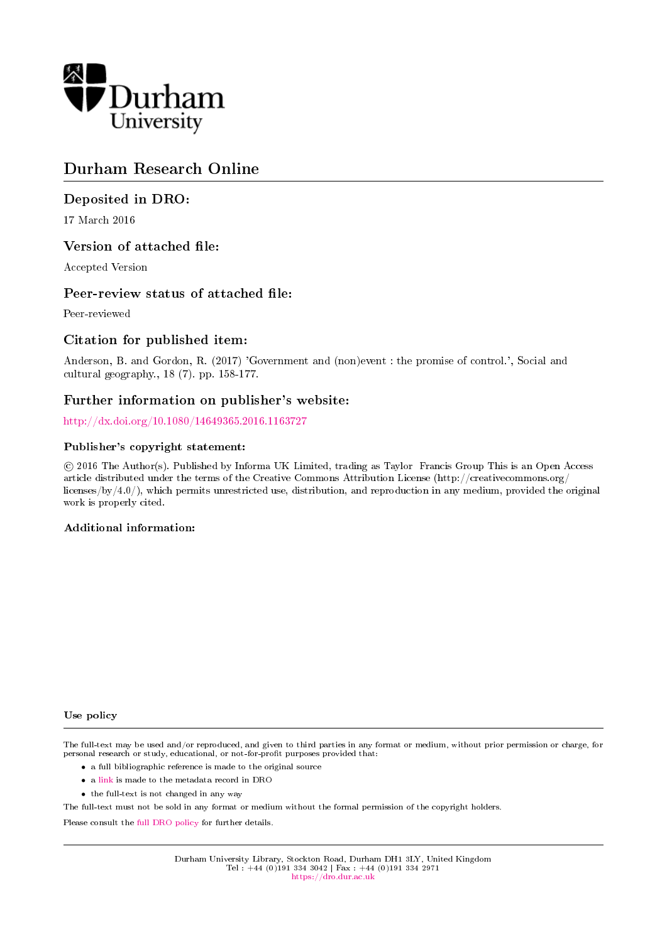

# Durham Research Online

# Deposited in DRO:

17 March 2016

# Version of attached file:

Accepted Version

# Peer-review status of attached file:

Peer-reviewed

# Citation for published item:

Anderson, B. and Gordon, R. (2017) 'Government and (non)event : the promise of control.', Social and cultural geography., 18 (7). pp. 158-177.

# Further information on publisher's website:

<http://dx.doi.org/10.1080/14649365.2016.1163727>

#### Publisher's copyright statement:

 c 2016 The Author(s). Published by Informa UK Limited, trading as Taylor Francis Group This is an Open Access article distributed under the terms of the Creative Commons Attribution License (http://creativecommons.org/ licenses/by/4.0/), which permits unrestricted use, distribution, and reproduction in any medium, provided the original work is properly cited.

#### Additional information:

#### Use policy

The full-text may be used and/or reproduced, and given to third parties in any format or medium, without prior permission or charge, for personal research or study, educational, or not-for-profit purposes provided that:

- a full bibliographic reference is made to the original source
- a [link](http://dro.dur.ac.uk/17935/) is made to the metadata record in DRO
- the full-text is not changed in any way

The full-text must not be sold in any format or medium without the formal permission of the copyright holders.

Please consult the [full DRO policy](https://dro.dur.ac.uk/policies/usepolicy.pdf) for further details.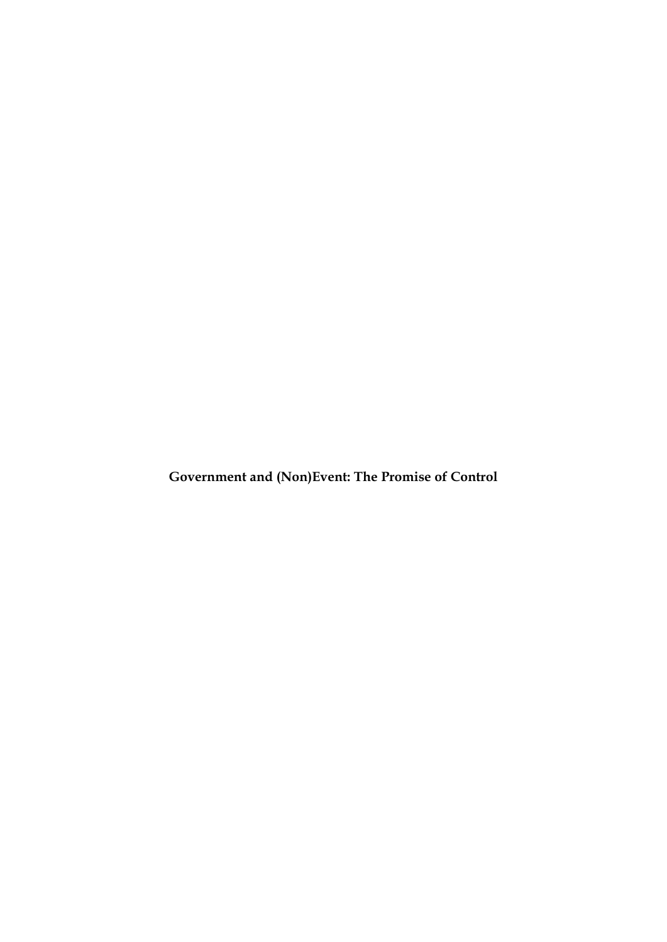**Government and (Non)Event: The Promise of Control**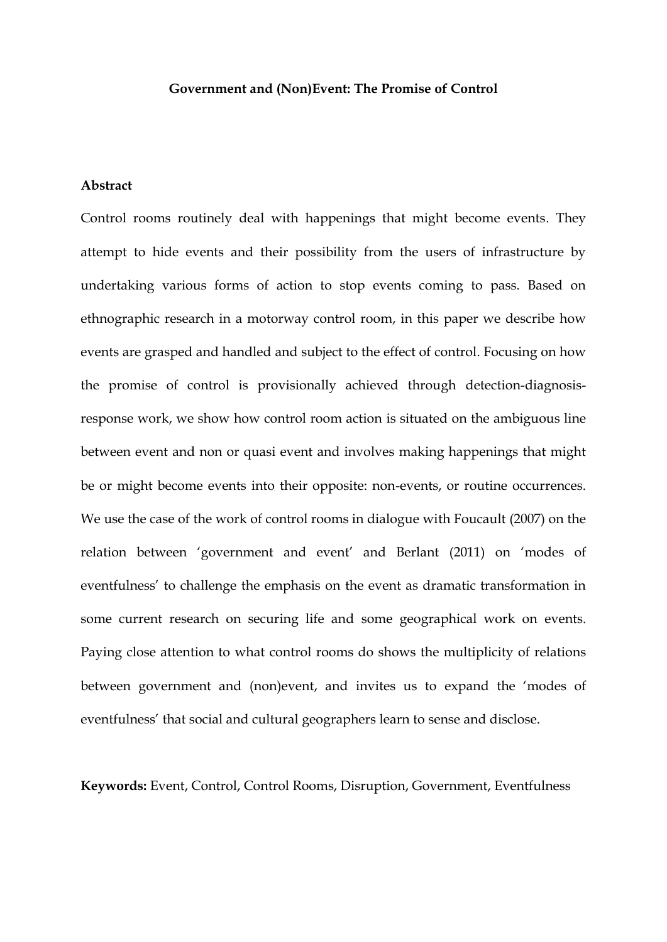#### **Government and (Non)Event: The Promise of Control**

### **Abstract**

Control rooms routinely deal with happenings that might become events. They attempt to hide events and their possibility from the users of infrastructure by undertaking various forms of action to stop events coming to pass. Based on ethnographic research in a motorway control room, in this paper we describe how events are grasped and handled and subject to the effect of control. Focusing on how the promise of control is provisionally achieved through detection-diagnosisresponse work, we show how control room action is situated on the ambiguous line between event and non or quasi event and involves making happenings that might be or might become events into their opposite: non-events, or routine occurrences. We use the case of the work of control rooms in dialogue with Foucault (2007) on the relation between 'government and event' and Berlant (2011) on 'modes of eventfulness' to challenge the emphasis on the event as dramatic transformation in some current research on securing life and some geographical work on events. Paying close attention to what control rooms do shows the multiplicity of relations between government and (non)event, and invites us to expand the 'modes of eventfulness' that social and cultural geographers learn to sense and disclose.

**Keywords:** Event, Control, Control Rooms, Disruption, Government, Eventfulness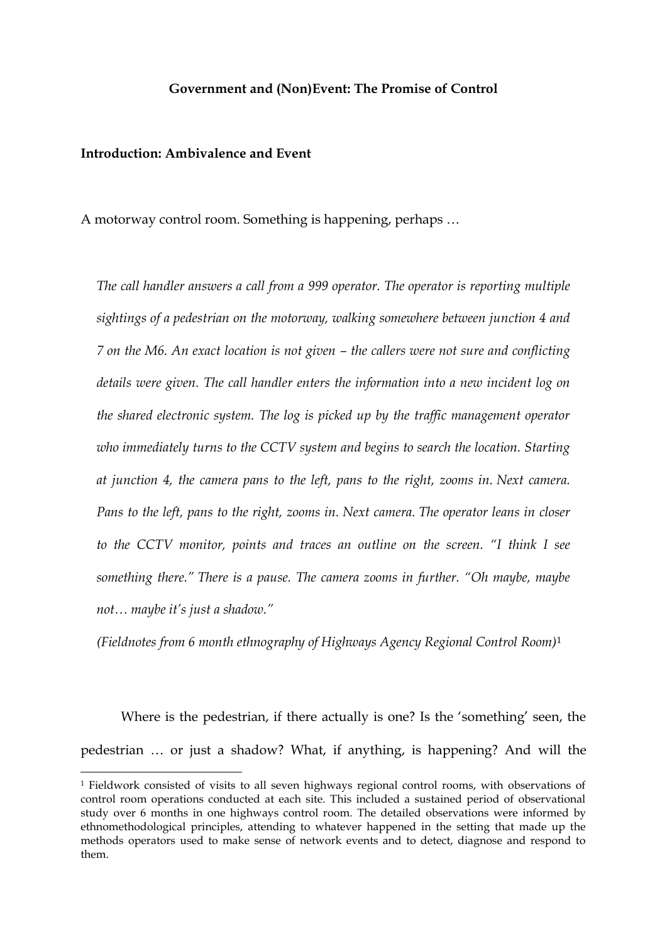#### **Government and (Non)Event: The Promise of Control**

# **Introduction: Ambivalence and Event**

**.** 

A motorway control room. Something is happening, perhaps …

*The call handler answers a call from a 999 operator. The operator is reporting multiple sightings of a pedestrian on the motorway, walking somewhere between junction 4 and 7 on the M6. An exact location is not given – the callers were not sure and conflicting details were given. The call handler enters the information into a new incident log on the shared electronic system. The log is picked up by the traffic management operator who immediately turns to the CCTV system and begins to search the location. Starting at junction 4, the camera pans to the left, pans to the right, zooms in. Next camera. Pans to the left, pans to the right, zooms in. Next camera. The operator leans in closer to the CCTV monitor, points and traces an outline on the screen. "I think I see something there." There is a pause. The camera zooms in further. "Oh maybe, maybe not… maybe it's just a shadow."*

*(Fieldnotes from 6 month ethnography of Highways Agency Regional Control Room)*<sup>1</sup>

Where is the pedestrian, if there actually is one? Is the 'something' seen, the pedestrian … or just a shadow? What, if anything, is happening? And will the

<sup>1</sup> Fieldwork consisted of visits to all seven highways regional control rooms, with observations of control room operations conducted at each site. This included a sustained period of observational study over 6 months in one highways control room. The detailed observations were informed by ethnomethodological principles, attending to whatever happened in the setting that made up the methods operators used to make sense of network events and to detect, diagnose and respond to them.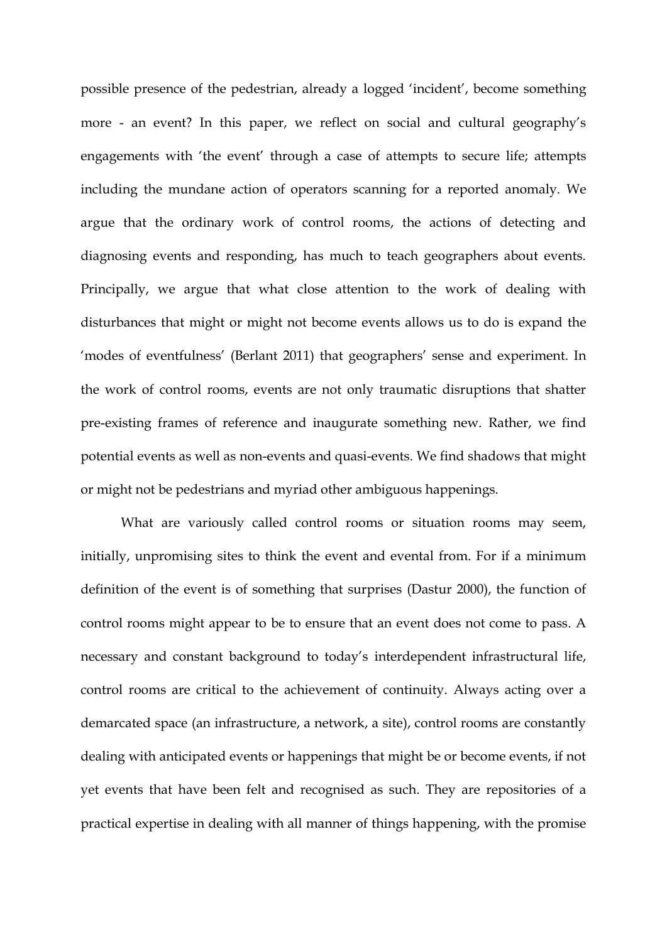possible presence of the pedestrian, already a logged 'incident', become something more - an event? In this paper, we reflect on social and cultural geography's engagements with 'the event' through a case of attempts to secure life; attempts including the mundane action of operators scanning for a reported anomaly. We argue that the ordinary work of control rooms, the actions of detecting and diagnosing events and responding, has much to teach geographers about events. Principally, we argue that what close attention to the work of dealing with disturbances that might or might not become events allows us to do is expand the 'modes of eventfulness' (Berlant 2011) that geographers' sense and experiment. In the work of control rooms, events are not only traumatic disruptions that shatter pre-existing frames of reference and inaugurate something new. Rather, we find potential events as well as non-events and quasi-events. We find shadows that might or might not be pedestrians and myriad other ambiguous happenings.

What are variously called control rooms or situation rooms may seem, initially, unpromising sites to think the event and evental from. For if a minimum definition of the event is of something that surprises (Dastur 2000), the function of control rooms might appear to be to ensure that an event does not come to pass. A necessary and constant background to today's interdependent infrastructural life, control rooms are critical to the achievement of continuity. Always acting over a demarcated space (an infrastructure, a network, a site), control rooms are constantly dealing with anticipated events or happenings that might be or become events, if not yet events that have been felt and recognised as such. They are repositories of a practical expertise in dealing with all manner of things happening, with the promise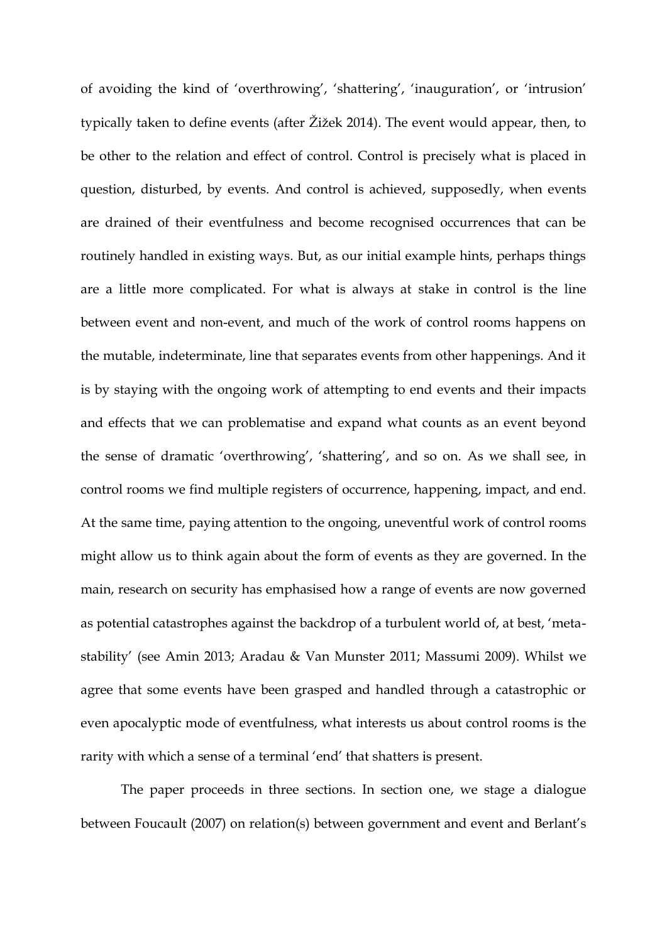of avoiding the kind of 'overthrowing', 'shattering', 'inauguration', or 'intrusion' typically taken to define events (after Žižek 2014). The event would appear, then, to be other to the relation and effect of control. Control is precisely what is placed in question, disturbed, by events. And control is achieved, supposedly, when events are drained of their eventfulness and become recognised occurrences that can be routinely handled in existing ways. But, as our initial example hints, perhaps things are a little more complicated. For what is always at stake in control is the line between event and non-event, and much of the work of control rooms happens on the mutable, indeterminate, line that separates events from other happenings. And it is by staying with the ongoing work of attempting to end events and their impacts and effects that we can problematise and expand what counts as an event beyond the sense of dramatic 'overthrowing', 'shattering', and so on. As we shall see, in control rooms we find multiple registers of occurrence, happening, impact, and end. At the same time, paying attention to the ongoing, uneventful work of control rooms might allow us to think again about the form of events as they are governed. In the main, research on security has emphasised how a range of events are now governed as potential catastrophes against the backdrop of a turbulent world of, at best, 'metastability' (see Amin 2013; Aradau & Van Munster 2011; Massumi 2009). Whilst we agree that some events have been grasped and handled through a catastrophic or even apocalyptic mode of eventfulness, what interests us about control rooms is the rarity with which a sense of a terminal 'end' that shatters is present.

The paper proceeds in three sections. In section one, we stage a dialogue between Foucault (2007) on relation(s) between government and event and Berlant's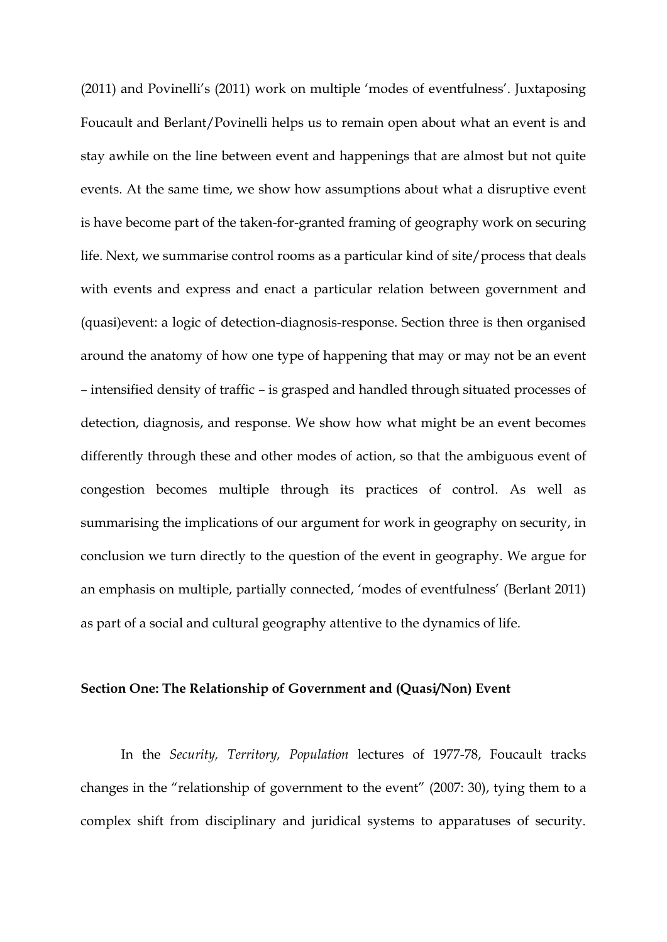(2011) and Povinelli's (2011) work on multiple 'modes of eventfulness'. Juxtaposing Foucault and Berlant/Povinelli helps us to remain open about what an event is and stay awhile on the line between event and happenings that are almost but not quite events. At the same time, we show how assumptions about what a disruptive event is have become part of the taken-for-granted framing of geography work on securing life. Next, we summarise control rooms as a particular kind of site/process that deals with events and express and enact a particular relation between government and (quasi)event: a logic of detection-diagnosis-response. Section three is then organised around the anatomy of how one type of happening that may or may not be an event – intensified density of traffic – is grasped and handled through situated processes of detection, diagnosis, and response. We show how what might be an event becomes differently through these and other modes of action, so that the ambiguous event of congestion becomes multiple through its practices of control. As well as summarising the implications of our argument for work in geography on security, in conclusion we turn directly to the question of the event in geography. We argue for an emphasis on multiple, partially connected, 'modes of eventfulness' (Berlant 2011) as part of a social and cultural geography attentive to the dynamics of life.

#### **Section One: The Relationship of Government and (Quasi/Non) Event**

In the *Security, Territory, Population* lectures of 1977-78, Foucault tracks changes in the "relationship of government to the event" (2007: 30), tying them to a complex shift from disciplinary and juridical systems to apparatuses of security.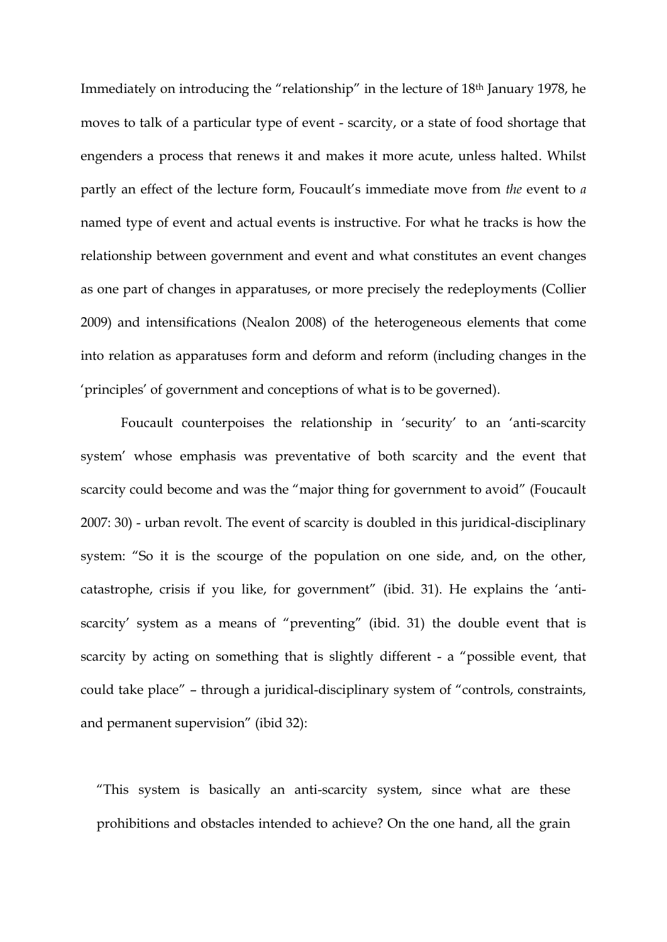Immediately on introducing the "relationship" in the lecture of 18th January 1978, he moves to talk of a particular type of event - scarcity, or a state of food shortage that engenders a process that renews it and makes it more acute, unless halted. Whilst partly an effect of the lecture form, Foucault's immediate move from *the* event to *a*  named type of event and actual events is instructive. For what he tracks is how the relationship between government and event and what constitutes an event changes as one part of changes in apparatuses, or more precisely the redeployments (Collier 2009) and intensifications (Nealon 2008) of the heterogeneous elements that come into relation as apparatuses form and deform and reform (including changes in the 'principles' of government and conceptions of what is to be governed).

Foucault counterpoises the relationship in 'security' to an 'anti-scarcity system' whose emphasis was preventative of both scarcity and the event that scarcity could become and was the "major thing for government to avoid" (Foucault 2007: 30) - urban revolt. The event of scarcity is doubled in this juridical-disciplinary system: "So it is the scourge of the population on one side, and, on the other, catastrophe, crisis if you like, for government" (ibid. 31). He explains the 'antiscarcity' system as a means of "preventing" (ibid. 31) the double event that is scarcity by acting on something that is slightly different - a "possible event, that could take place" – through a juridical-disciplinary system of "controls, constraints, and permanent supervision" (ibid 32):

"This system is basically an anti-scarcity system, since what are these prohibitions and obstacles intended to achieve? On the one hand, all the grain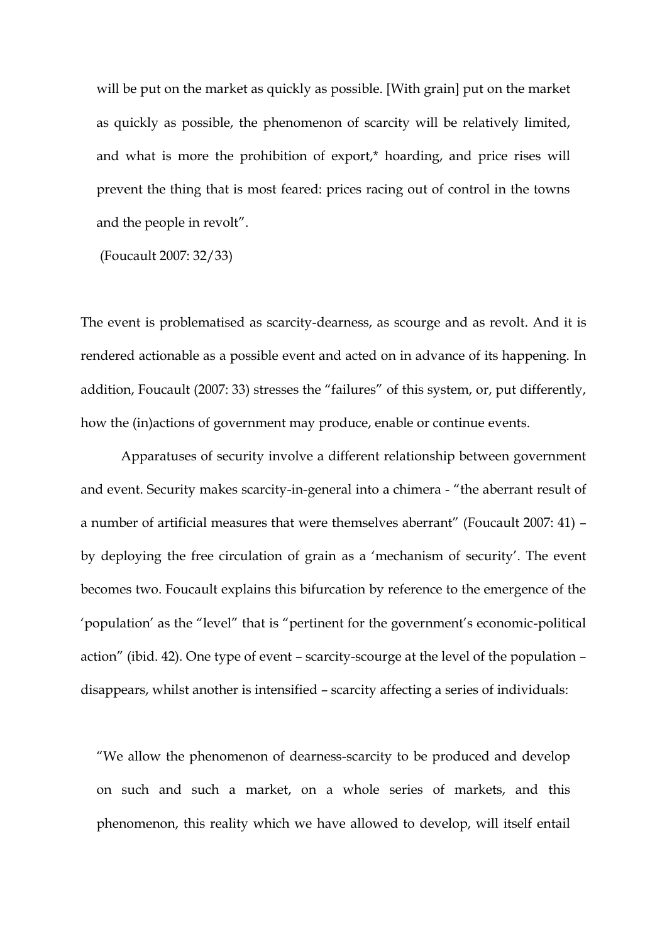will be put on the market as quickly as possible. [With grain] put on the market as quickly as possible, the phenomenon of scarcity will be relatively limited, and what is more the prohibition of export,\* hoarding, and price rises will prevent the thing that is most feared: prices racing out of control in the towns and the people in revolt".

(Foucault 2007: 32/33)

The event is problematised as scarcity-dearness, as scourge and as revolt. And it is rendered actionable as a possible event and acted on in advance of its happening. In addition, Foucault (2007: 33) stresses the "failures" of this system, or, put differently, how the (in)actions of government may produce, enable or continue events.

Apparatuses of security involve a different relationship between government and event. Security makes scarcity-in-general into a chimera - "the aberrant result of a number of artificial measures that were themselves aberrant" (Foucault 2007: 41) – by deploying the free circulation of grain as a 'mechanism of security'. The event becomes two. Foucault explains this bifurcation by reference to the emergence of the 'population' as the "level" that is "pertinent for the government's economic-political action" (ibid. 42). One type of event – scarcity-scourge at the level of the population – disappears, whilst another is intensified – scarcity affecting a series of individuals:

"We allow the phenomenon of dearness-scarcity to be produced and develop on such and such a market, on a whole series of markets, and this phenomenon, this reality which we have allowed to develop, will itself entail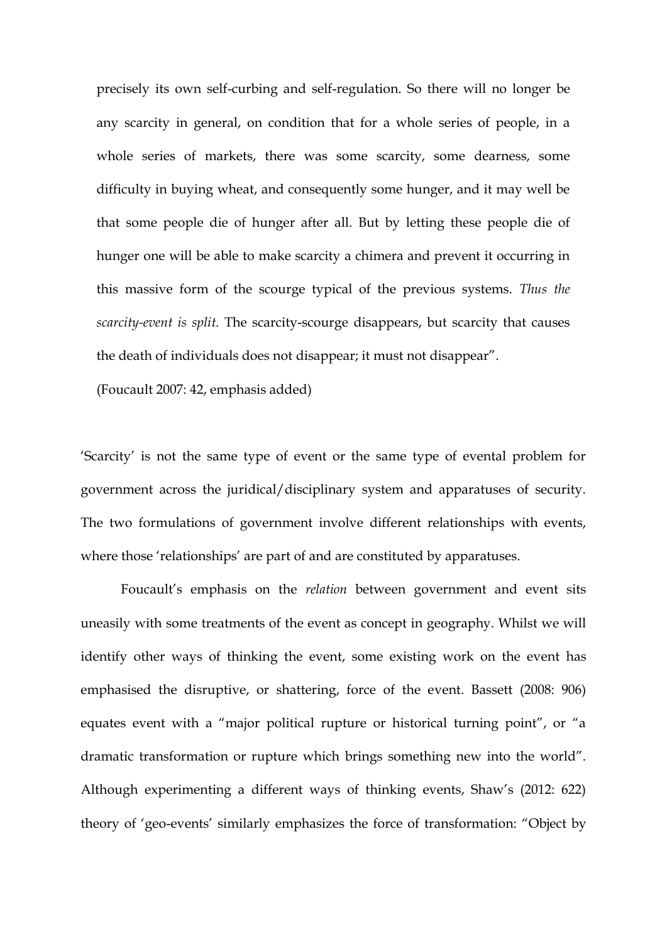precisely its own self-curbing and self-regulation. So there will no longer be any scarcity in general, on condition that for a whole series of people, in a whole series of markets, there was some scarcity, some dearness, some difficulty in buying wheat, and consequently some hunger, and it may well be that some people die of hunger after all. But by letting these people die of hunger one will be able to make scarcity a chimera and prevent it occurring in this massive form of the scourge typical of the previous systems. *Thus the scarcity-event is split.* The scarcity-scourge disappears, but scarcity that causes the death of individuals does not disappear; it must not disappear".

(Foucault 2007: 42, emphasis added)

'Scarcity' is not the same type of event or the same type of evental problem for government across the juridical/disciplinary system and apparatuses of security. The two formulations of government involve different relationships with events, where those 'relationships' are part of and are constituted by apparatuses.

Foucault's emphasis on the *relation* between government and event sits uneasily with some treatments of the event as concept in geography. Whilst we will identify other ways of thinking the event, some existing work on the event has emphasised the disruptive, or shattering, force of the event. Bassett (2008: 906) equates event with a "major political rupture or historical turning point", or "a dramatic transformation or rupture which brings something new into the world". Although experimenting a different ways of thinking events, Shaw's (2012: 622) theory of 'geo-events' similarly emphasizes the force of transformation: "Object by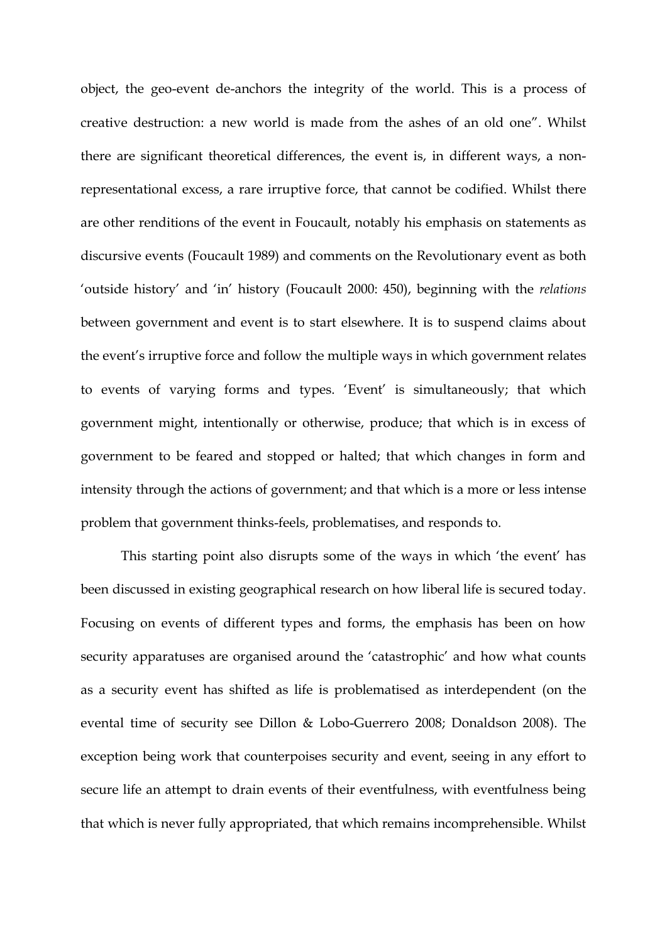object, the geo-event de-anchors the integrity of the world. This is a process of creative destruction: a new world is made from the ashes of an old one". Whilst there are significant theoretical differences, the event is, in different ways, a nonrepresentational excess, a rare irruptive force, that cannot be codified. Whilst there are other renditions of the event in Foucault, notably his emphasis on statements as discursive events (Foucault 1989) and comments on the Revolutionary event as both 'outside history' and 'in' history (Foucault 2000: 450), beginning with the *relations* between government and event is to start elsewhere. It is to suspend claims about the event's irruptive force and follow the multiple ways in which government relates to events of varying forms and types. 'Event' is simultaneously; that which government might, intentionally or otherwise, produce; that which is in excess of government to be feared and stopped or halted; that which changes in form and intensity through the actions of government; and that which is a more or less intense problem that government thinks-feels, problematises, and responds to.

This starting point also disrupts some of the ways in which 'the event' has been discussed in existing geographical research on how liberal life is secured today. Focusing on events of different types and forms, the emphasis has been on how security apparatuses are organised around the 'catastrophic' and how what counts as a security event has shifted as life is problematised as interdependent (on the evental time of security see Dillon & Lobo-Guerrero 2008; Donaldson 2008). The exception being work that counterpoises security and event, seeing in any effort to secure life an attempt to drain events of their eventfulness, with eventfulness being that which is never fully appropriated, that which remains incomprehensible. Whilst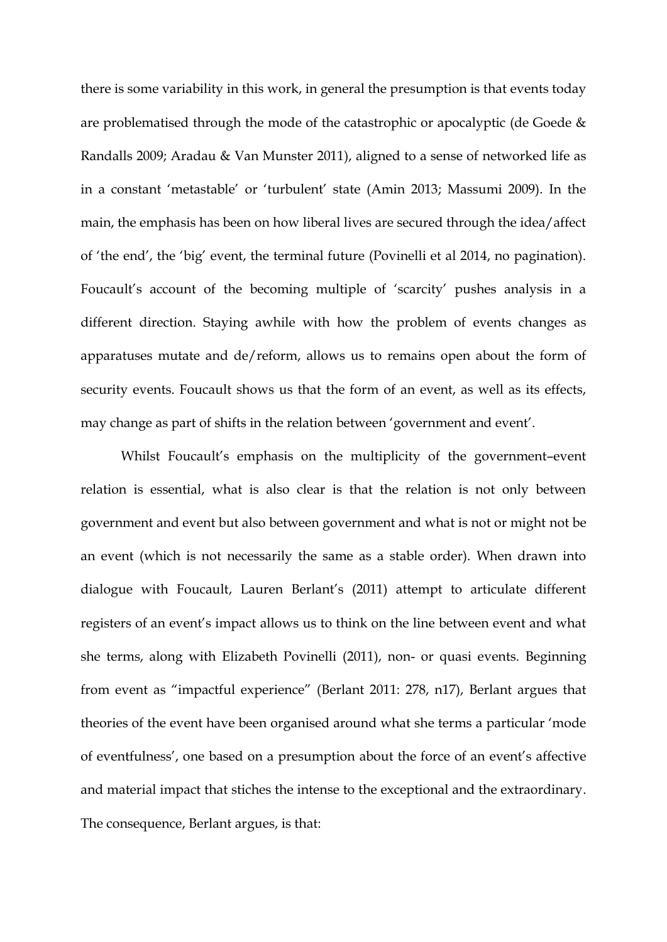there is some variability in this work, in general the presumption is that events today are problematised through the mode of the catastrophic or apocalyptic (de Goede & Randalls 2009; Aradau & Van Munster 2011), aligned to a sense of networked life as in a constant 'metastable' or 'turbulent' state (Amin 2013; Massumi 2009). In the main, the emphasis has been on how liberal lives are secured through the idea/affect of 'the end', the 'big' event, the terminal future (Povinelli et al 2014, no pagination). Foucault's account of the becoming multiple of 'scarcity' pushes analysis in a different direction. Staying awhile with how the problem of events changes as apparatuses mutate and de/reform, allows us to remains open about the form of security events. Foucault shows us that the form of an event, as well as its effects, may change as part of shifts in the relation between 'government and event'.

Whilst Foucault's emphasis on the multiplicity of the government-event relation is essential, what is also clear is that the relation is not only between government and event but also between government and what is not or might not be an event (which is not necessarily the same as a stable order). When drawn into dialogue with Foucault, Lauren Berlant's (2011) attempt to articulate different registers of an event's impact allows us to think on the line between event and what she terms, along with Elizabeth Povinelli (2011), non- or quasi events. Beginning from event as "impactful experience" (Berlant 2011: 278, n17), Berlant argues that theories of the event have been organised around what she terms a particular 'mode of eventfulness', one based on a presumption about the force of an event's affective and material impact that stiches the intense to the exceptional and the extraordinary. The consequence, Berlant argues, is that: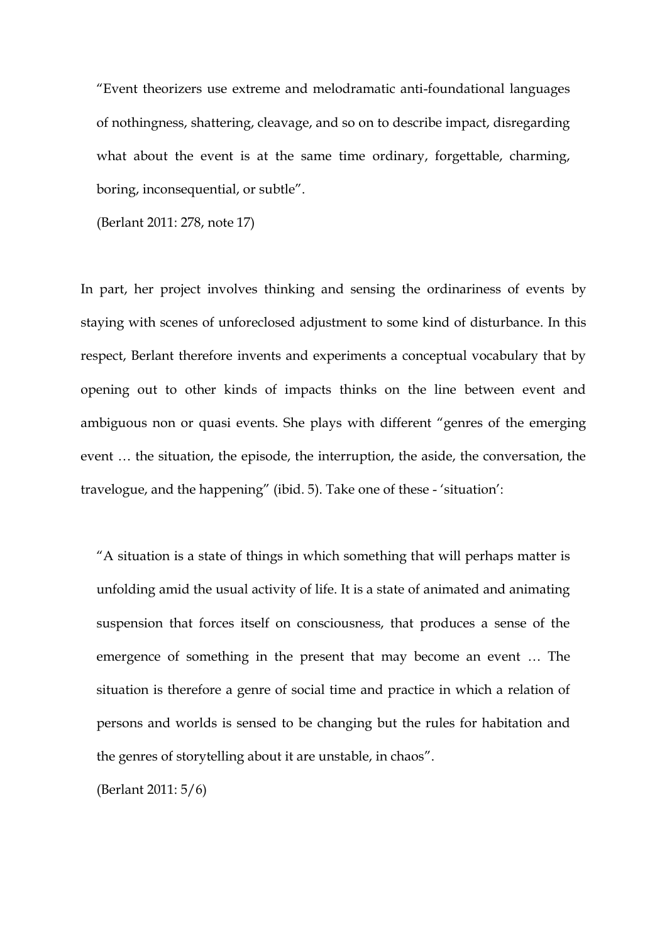"Event theorizers use extreme and melodramatic anti-foundational languages of nothingness, shattering, cleavage, and so on to describe impact, disregarding what about the event is at the same time ordinary, forgettable, charming, boring, inconsequential, or subtle".

(Berlant 2011: 278, note 17)

In part, her project involves thinking and sensing the ordinariness of events by staying with scenes of unforeclosed adjustment to some kind of disturbance. In this respect, Berlant therefore invents and experiments a conceptual vocabulary that by opening out to other kinds of impacts thinks on the line between event and ambiguous non or quasi events. She plays with different "genres of the emerging event … the situation, the episode, the interruption, the aside, the conversation, the travelogue, and the happening" (ibid. 5). Take one of these - 'situation':

"A situation is a state of things in which something that will perhaps matter is unfolding amid the usual activity of life. It is a state of animated and animating suspension that forces itself on consciousness, that produces a sense of the emergence of something in the present that may become an event … The situation is therefore a genre of social time and practice in which a relation of persons and worlds is sensed to be changing but the rules for habitation and the genres of storytelling about it are unstable, in chaos".

(Berlant 2011: 5/6)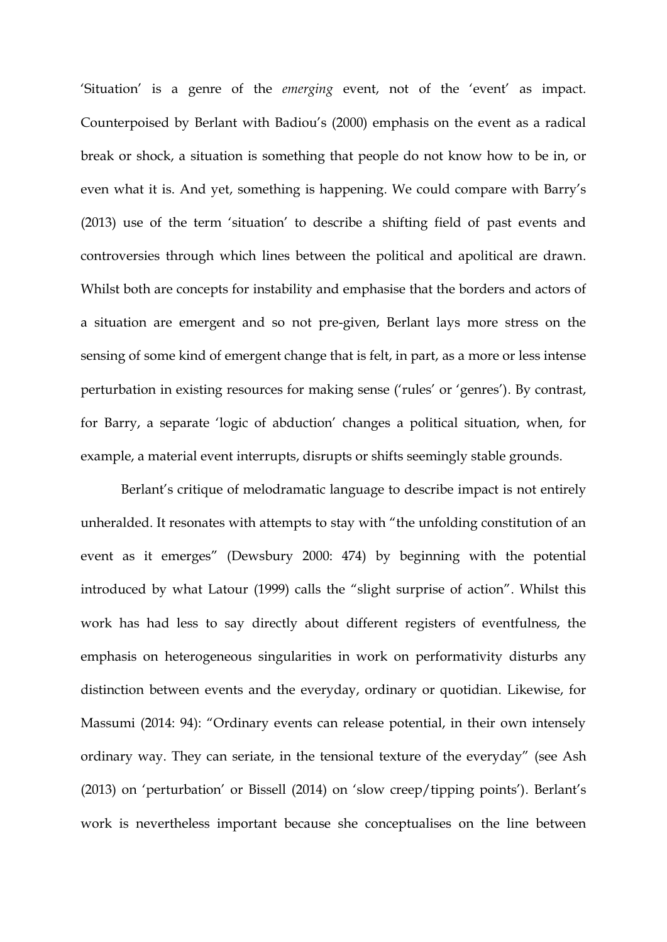'Situation' is a genre of the *emerging* event, not of the 'event' as impact. Counterpoised by Berlant with Badiou's (2000) emphasis on the event as a radical break or shock, a situation is something that people do not know how to be in, or even what it is. And yet, something is happening. We could compare with Barry's (2013) use of the term 'situation' to describe a shifting field of past events and controversies through which lines between the political and apolitical are drawn. Whilst both are concepts for instability and emphasise that the borders and actors of a situation are emergent and so not pre-given, Berlant lays more stress on the sensing of some kind of emergent change that is felt, in part, as a more or less intense perturbation in existing resources for making sense ('rules' or 'genres'). By contrast, for Barry, a separate 'logic of abduction' changes a political situation, when, for example, a material event interrupts, disrupts or shifts seemingly stable grounds.

Berlant's critique of melodramatic language to describe impact is not entirely unheralded. It resonates with attempts to stay with "the unfolding constitution of an event as it emerges" (Dewsbury 2000: 474) by beginning with the potential introduced by what Latour (1999) calls the "slight surprise of action". Whilst this work has had less to say directly about different registers of eventfulness, the emphasis on heterogeneous singularities in work on performativity disturbs any distinction between events and the everyday, ordinary or quotidian. Likewise, for Massumi (2014: 94): "Ordinary events can release potential, in their own intensely ordinary way. They can seriate, in the tensional texture of the everyday" (see Ash (2013) on 'perturbation' or Bissell (2014) on 'slow creep/tipping points'). Berlant's work is nevertheless important because she conceptualises on the line between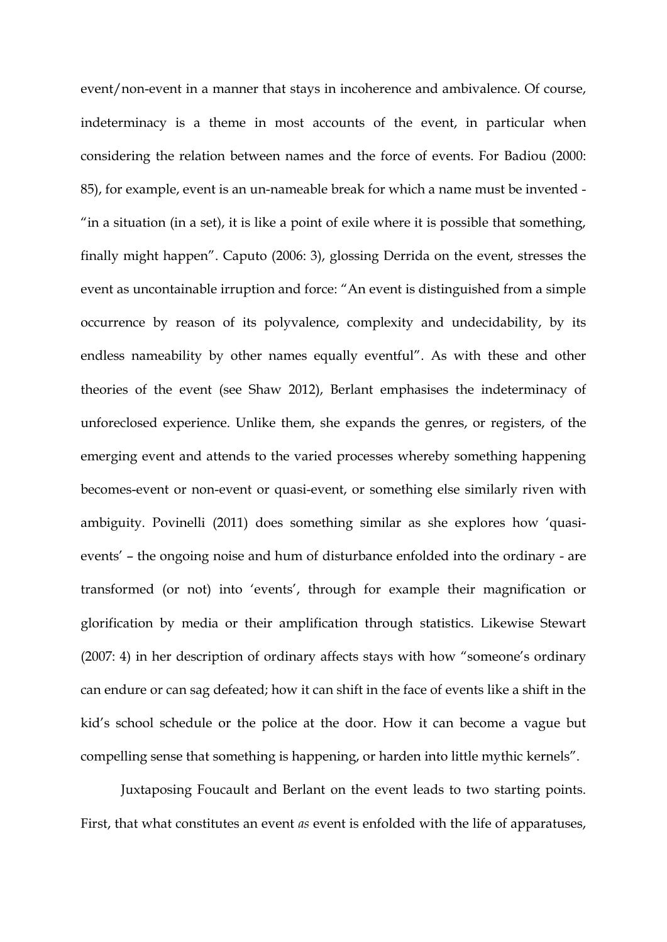event/non-event in a manner that stays in incoherence and ambivalence. Of course, indeterminacy is a theme in most accounts of the event, in particular when considering the relation between names and the force of events. For Badiou (2000: 85), for example, event is an un-nameable break for which a name must be invented - "in a situation (in a set), it is like a point of exile where it is possible that something, finally might happen". Caputo (2006: 3), glossing Derrida on the event, stresses the event as uncontainable irruption and force: "An event is distinguished from a simple occurrence by reason of its polyvalence, complexity and undecidability, by its endless nameability by other names equally eventful". As with these and other theories of the event (see Shaw 2012), Berlant emphasises the indeterminacy of unforeclosed experience. Unlike them, she expands the genres, or registers, of the emerging event and attends to the varied processes whereby something happening becomes-event or non-event or quasi-event, or something else similarly riven with ambiguity. Povinelli (2011) does something similar as she explores how 'quasievents' – the ongoing noise and hum of disturbance enfolded into the ordinary - are transformed (or not) into 'events', through for example their magnification or glorification by media or their amplification through statistics. Likewise Stewart (2007: 4) in her description of ordinary affects stays with how "someone's ordinary can endure or can sag defeated; how it can shift in the face of events like a shift in the kid's school schedule or the police at the door. How it can become a vague but compelling sense that something is happening, or harden into little mythic kernels".

Juxtaposing Foucault and Berlant on the event leads to two starting points. First, that what constitutes an event *as* event is enfolded with the life of apparatuses,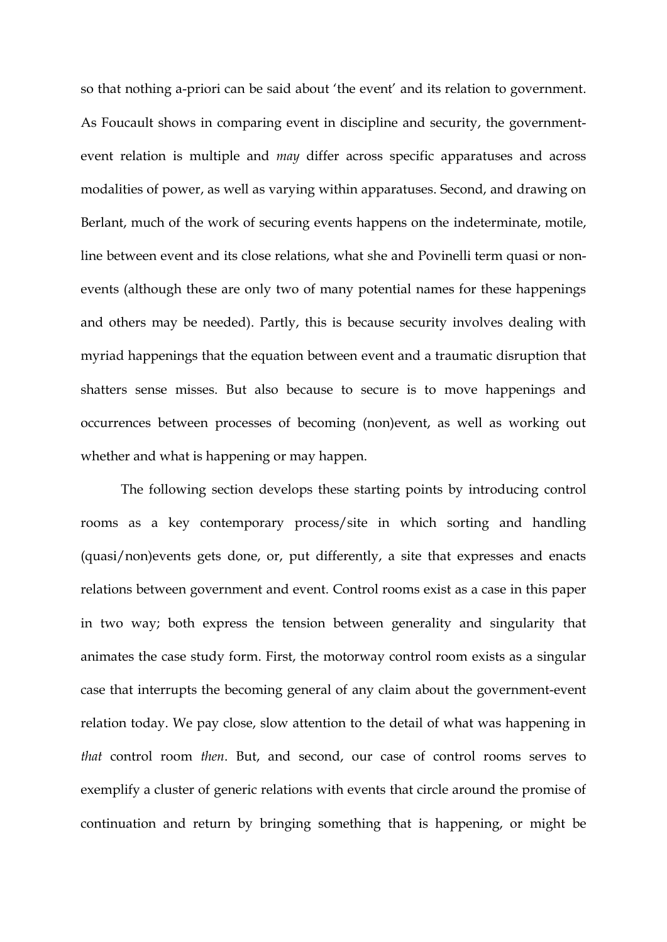so that nothing a-priori can be said about 'the event' and its relation to government. As Foucault shows in comparing event in discipline and security, the governmentevent relation is multiple and *may* differ across specific apparatuses and across modalities of power, as well as varying within apparatuses. Second, and drawing on Berlant, much of the work of securing events happens on the indeterminate, motile, line between event and its close relations, what she and Povinelli term quasi or nonevents (although these are only two of many potential names for these happenings and others may be needed). Partly, this is because security involves dealing with myriad happenings that the equation between event and a traumatic disruption that shatters sense misses. But also because to secure is to move happenings and occurrences between processes of becoming (non)event, as well as working out whether and what is happening or may happen.

The following section develops these starting points by introducing control rooms as a key contemporary process/site in which sorting and handling (quasi/non)events gets done, or, put differently, a site that expresses and enacts relations between government and event. Control rooms exist as a case in this paper in two way; both express the tension between generality and singularity that animates the case study form. First, the motorway control room exists as a singular case that interrupts the becoming general of any claim about the government-event relation today. We pay close, slow attention to the detail of what was happening in *that* control room *then*. But, and second, our case of control rooms serves to exemplify a cluster of generic relations with events that circle around the promise of continuation and return by bringing something that is happening, or might be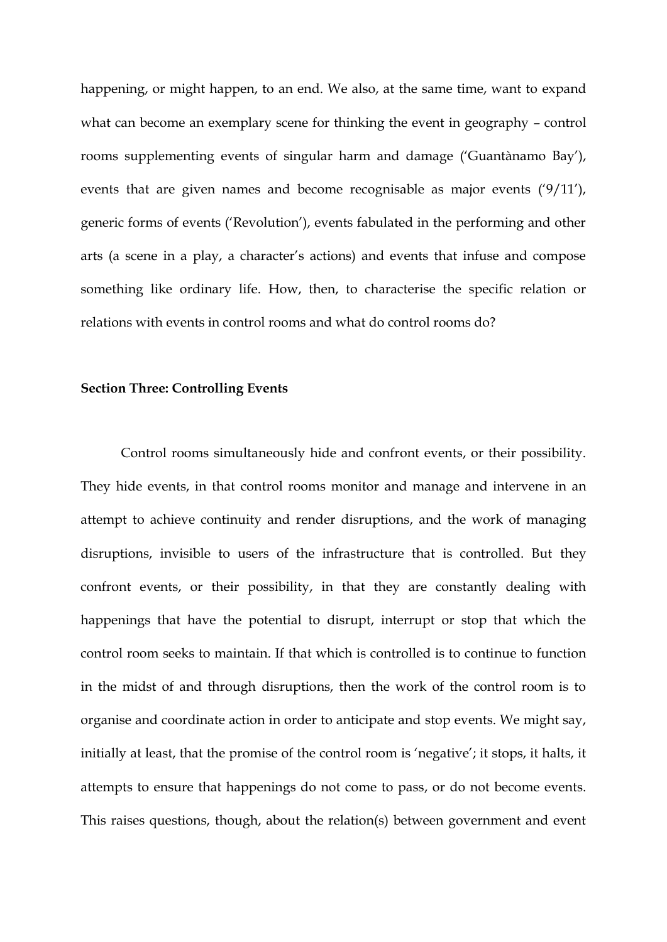happening, or might happen, to an end. We also, at the same time, want to expand what can become an exemplary scene for thinking the event in geography – control rooms supplementing events of singular harm and damage ('Guantànamo Bay'), events that are given names and become recognisable as major events ('9/11'), generic forms of events ('Revolution'), events fabulated in the performing and other arts (a scene in a play, a character's actions) and events that infuse and compose something like ordinary life. How, then, to characterise the specific relation or relations with events in control rooms and what do control rooms do?

#### **Section Three: Controlling Events**

Control rooms simultaneously hide and confront events, or their possibility. They hide events, in that control rooms monitor and manage and intervene in an attempt to achieve continuity and render disruptions, and the work of managing disruptions, invisible to users of the infrastructure that is controlled. But they confront events, or their possibility, in that they are constantly dealing with happenings that have the potential to disrupt, interrupt or stop that which the control room seeks to maintain. If that which is controlled is to continue to function in the midst of and through disruptions, then the work of the control room is to organise and coordinate action in order to anticipate and stop events. We might say, initially at least, that the promise of the control room is 'negative'; it stops, it halts, it attempts to ensure that happenings do not come to pass, or do not become events. This raises questions, though, about the relation(s) between government and event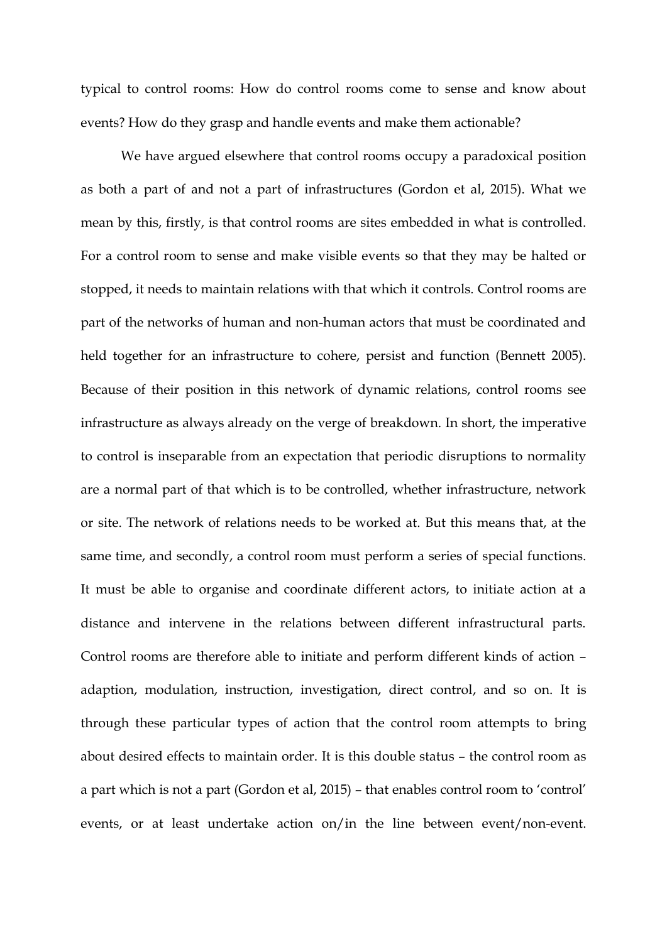typical to control rooms: How do control rooms come to sense and know about events? How do they grasp and handle events and make them actionable?

We have argued elsewhere that control rooms occupy a paradoxical position as both a part of and not a part of infrastructures (Gordon et al, 2015). What we mean by this, firstly, is that control rooms are sites embedded in what is controlled. For a control room to sense and make visible events so that they may be halted or stopped, it needs to maintain relations with that which it controls. Control rooms are part of the networks of human and non-human actors that must be coordinated and held together for an infrastructure to cohere, persist and function (Bennett 2005). Because of their position in this network of dynamic relations, control rooms see infrastructure as always already on the verge of breakdown. In short, the imperative to control is inseparable from an expectation that periodic disruptions to normality are a normal part of that which is to be controlled, whether infrastructure, network or site. The network of relations needs to be worked at. But this means that, at the same time, and secondly, a control room must perform a series of special functions. It must be able to organise and coordinate different actors, to initiate action at a distance and intervene in the relations between different infrastructural parts. Control rooms are therefore able to initiate and perform different kinds of action – adaption, modulation, instruction, investigation, direct control, and so on. It is through these particular types of action that the control room attempts to bring about desired effects to maintain order. It is this double status – the control room as a part which is not a part (Gordon et al, 2015) – that enables control room to 'control' events, or at least undertake action on/in the line between event/non-event.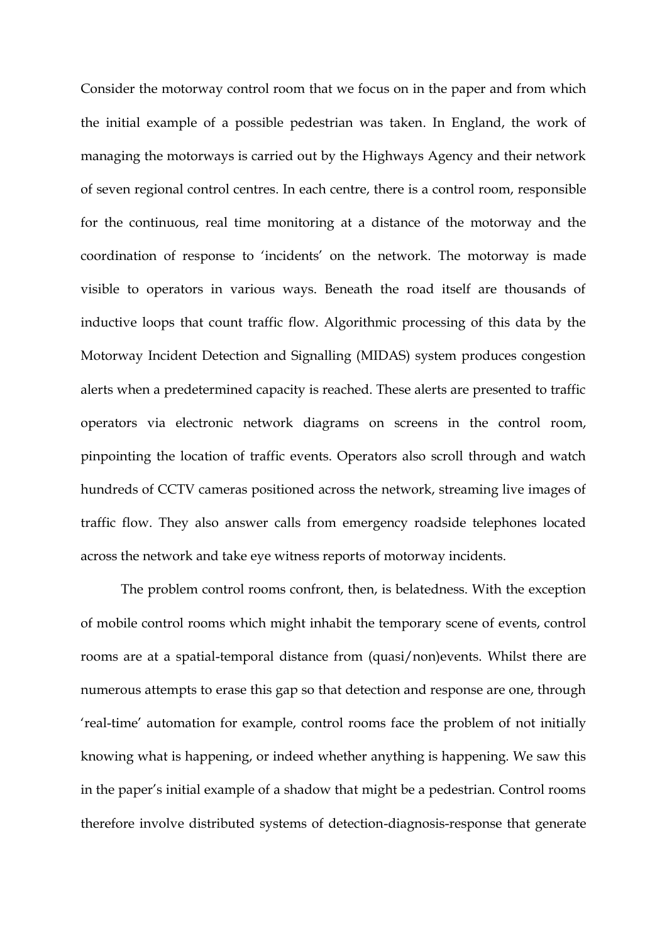Consider the motorway control room that we focus on in the paper and from which the initial example of a possible pedestrian was taken. In England, the work of managing the motorways is carried out by the Highways Agency and their network of seven regional control centres. In each centre, there is a control room, responsible for the continuous, real time monitoring at a distance of the motorway and the coordination of response to 'incidents' on the network. The motorway is made visible to operators in various ways. Beneath the road itself are thousands of inductive loops that count traffic flow. Algorithmic processing of this data by the Motorway Incident Detection and Signalling (MIDAS) system produces congestion alerts when a predetermined capacity is reached. These alerts are presented to traffic operators via electronic network diagrams on screens in the control room, pinpointing the location of traffic events. Operators also scroll through and watch hundreds of CCTV cameras positioned across the network, streaming live images of traffic flow. They also answer calls from emergency roadside telephones located across the network and take eye witness reports of motorway incidents.

The problem control rooms confront, then, is belatedness. With the exception of mobile control rooms which might inhabit the temporary scene of events, control rooms are at a spatial-temporal distance from (quasi/non)events. Whilst there are numerous attempts to erase this gap so that detection and response are one, through 'real-time' automation for example, control rooms face the problem of not initially knowing what is happening, or indeed whether anything is happening. We saw this in the paper's initial example of a shadow that might be a pedestrian. Control rooms therefore involve distributed systems of detection-diagnosis-response that generate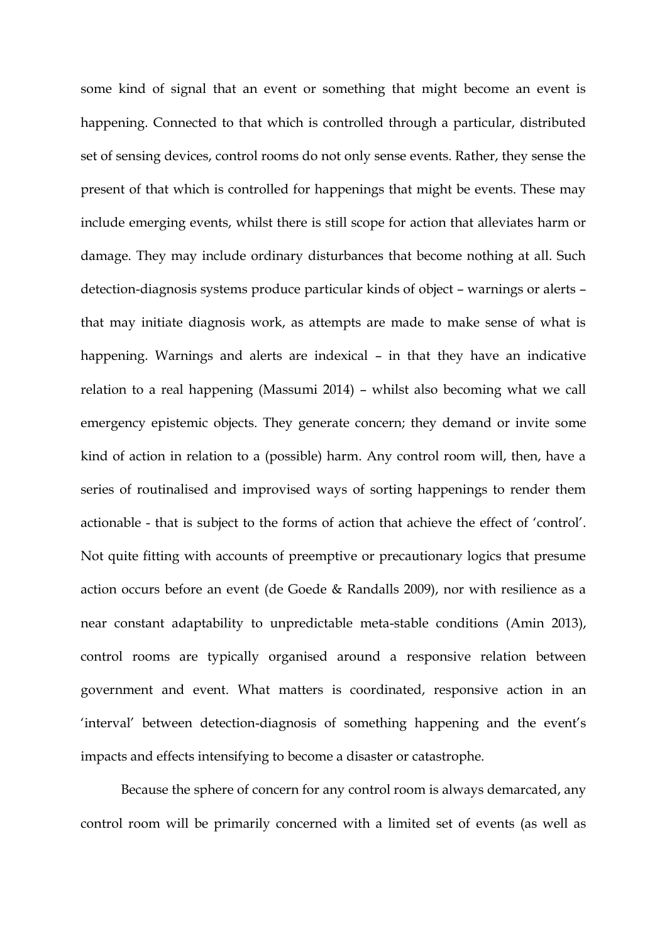some kind of signal that an event or something that might become an event is happening. Connected to that which is controlled through a particular, distributed set of sensing devices, control rooms do not only sense events. Rather, they sense the present of that which is controlled for happenings that might be events. These may include emerging events, whilst there is still scope for action that alleviates harm or damage. They may include ordinary disturbances that become nothing at all. Such detection-diagnosis systems produce particular kinds of object – warnings or alerts – that may initiate diagnosis work, as attempts are made to make sense of what is happening. Warnings and alerts are indexical – in that they have an indicative relation to a real happening (Massumi 2014) – whilst also becoming what we call emergency epistemic objects. They generate concern; they demand or invite some kind of action in relation to a (possible) harm. Any control room will, then, have a series of routinalised and improvised ways of sorting happenings to render them actionable - that is subject to the forms of action that achieve the effect of 'control'. Not quite fitting with accounts of preemptive or precautionary logics that presume action occurs before an event (de Goede & Randalls 2009), nor with resilience as a near constant adaptability to unpredictable meta-stable conditions (Amin 2013), control rooms are typically organised around a responsive relation between government and event. What matters is coordinated, responsive action in an 'interval' between detection-diagnosis of something happening and the event's impacts and effects intensifying to become a disaster or catastrophe.

Because the sphere of concern for any control room is always demarcated, any control room will be primarily concerned with a limited set of events (as well as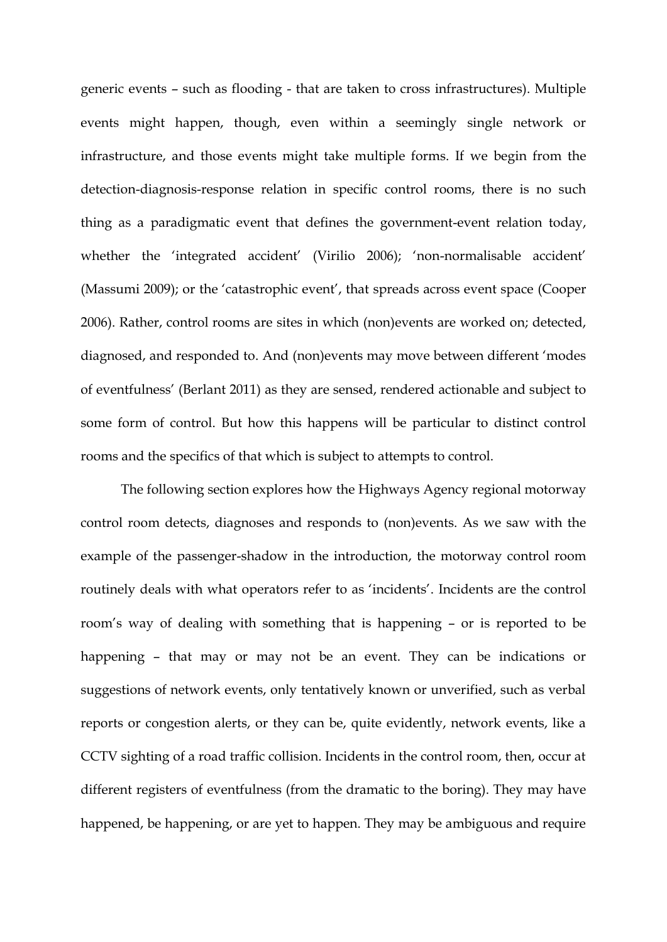generic events – such as flooding - that are taken to cross infrastructures). Multiple events might happen, though, even within a seemingly single network or infrastructure, and those events might take multiple forms. If we begin from the detection-diagnosis-response relation in specific control rooms, there is no such thing as a paradigmatic event that defines the government-event relation today, whether the 'integrated accident' (Virilio 2006); 'non-normalisable accident' (Massumi 2009); or the 'catastrophic event', that spreads across event space (Cooper 2006). Rather, control rooms are sites in which (non)events are worked on; detected, diagnosed, and responded to. And (non)events may move between different 'modes of eventfulness' (Berlant 2011) as they are sensed, rendered actionable and subject to some form of control. But how this happens will be particular to distinct control rooms and the specifics of that which is subject to attempts to control.

The following section explores how the Highways Agency regional motorway control room detects, diagnoses and responds to (non)events. As we saw with the example of the passenger-shadow in the introduction, the motorway control room routinely deals with what operators refer to as 'incidents'. Incidents are the control room's way of dealing with something that is happening – or is reported to be happening – that may or may not be an event. They can be indications or suggestions of network events, only tentatively known or unverified, such as verbal reports or congestion alerts, or they can be, quite evidently, network events, like a CCTV sighting of a road traffic collision. Incidents in the control room, then, occur at different registers of eventfulness (from the dramatic to the boring). They may have happened, be happening, or are yet to happen. They may be ambiguous and require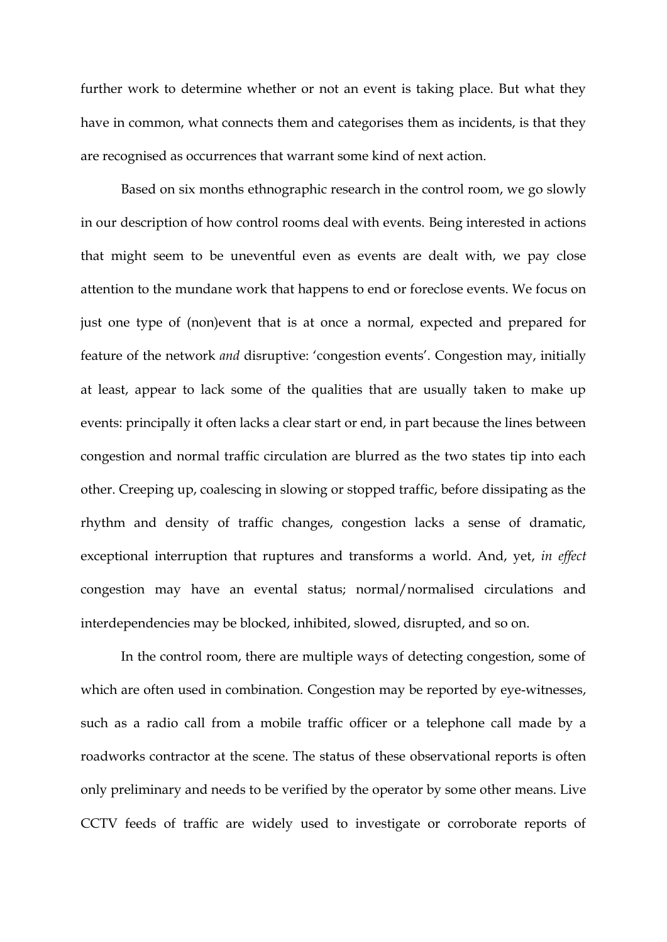further work to determine whether or not an event is taking place. But what they have in common, what connects them and categorises them as incidents, is that they are recognised as occurrences that warrant some kind of next action.

Based on six months ethnographic research in the control room, we go slowly in our description of how control rooms deal with events. Being interested in actions that might seem to be uneventful even as events are dealt with, we pay close attention to the mundane work that happens to end or foreclose events. We focus on just one type of (non)event that is at once a normal, expected and prepared for feature of the network *and* disruptive: 'congestion events'. Congestion may, initially at least, appear to lack some of the qualities that are usually taken to make up events: principally it often lacks a clear start or end, in part because the lines between congestion and normal traffic circulation are blurred as the two states tip into each other. Creeping up, coalescing in slowing or stopped traffic, before dissipating as the rhythm and density of traffic changes, congestion lacks a sense of dramatic, exceptional interruption that ruptures and transforms a world. And, yet, *in effect* congestion may have an evental status; normal/normalised circulations and interdependencies may be blocked, inhibited, slowed, disrupted, and so on.

In the control room, there are multiple ways of detecting congestion, some of which are often used in combination. Congestion may be reported by eye-witnesses, such as a radio call from a mobile traffic officer or a telephone call made by a roadworks contractor at the scene. The status of these observational reports is often only preliminary and needs to be verified by the operator by some other means. Live CCTV feeds of traffic are widely used to investigate or corroborate reports of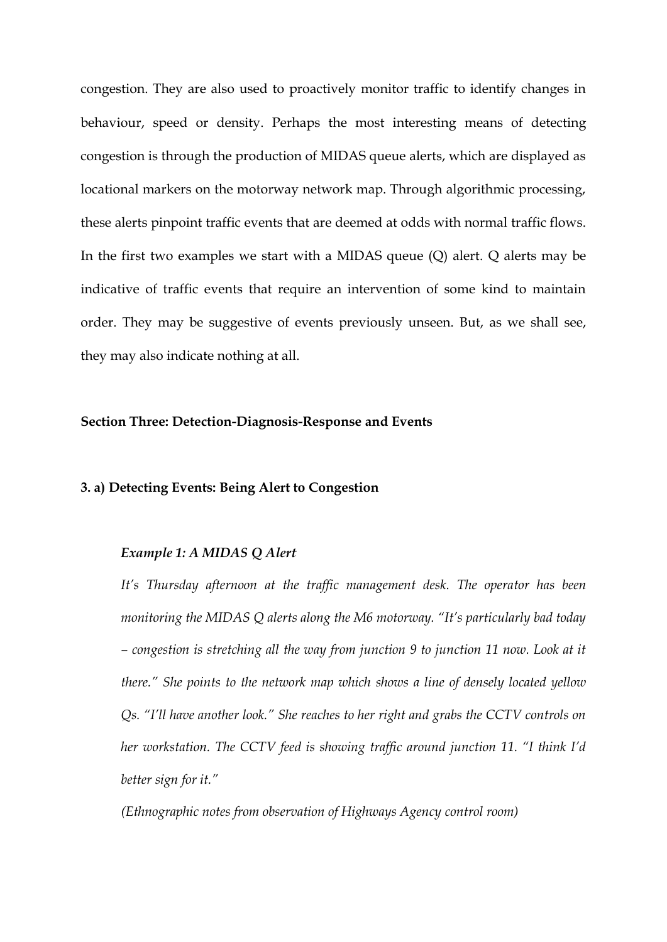congestion. They are also used to proactively monitor traffic to identify changes in behaviour, speed or density. Perhaps the most interesting means of detecting congestion is through the production of MIDAS queue alerts, which are displayed as locational markers on the motorway network map. Through algorithmic processing, these alerts pinpoint traffic events that are deemed at odds with normal traffic flows. In the first two examples we start with a MIDAS queue (Q) alert. Q alerts may be indicative of traffic events that require an intervention of some kind to maintain order. They may be suggestive of events previously unseen. But, as we shall see, they may also indicate nothing at all.

# **Section Three: Detection-Diagnosis-Response and Events**

# **3. a) Detecting Events: Being Alert to Congestion**

#### *Example 1: A MIDAS Q Alert*

*It's Thursday afternoon at the traffic management desk. The operator has been monitoring the MIDAS Q alerts along the M6 motorway. "It's particularly bad today – congestion is stretching all the way from junction 9 to junction 11 now. Look at it there." She points to the network map which shows a line of densely located yellow Qs. "I'll have another look." She reaches to her right and grabs the CCTV controls on her workstation. The CCTV feed is showing traffic around junction 11. "I think I'd better sign for it."*

*(Ethnographic notes from observation of Highways Agency control room)*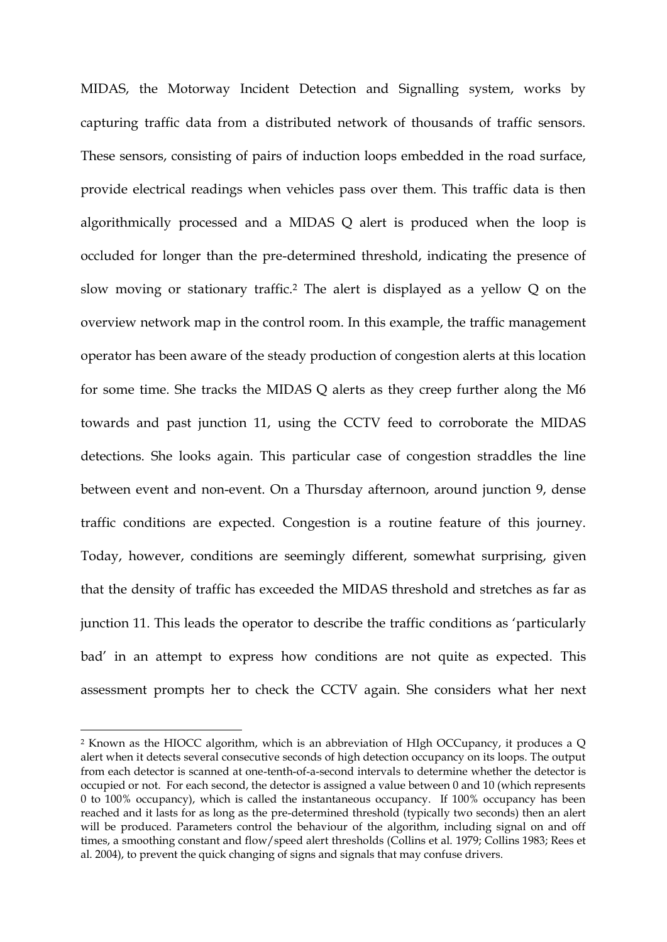MIDAS, the Motorway Incident Detection and Signalling system, works by capturing traffic data from a distributed network of thousands of traffic sensors. These sensors, consisting of pairs of induction loops embedded in the road surface, provide electrical readings when vehicles pass over them. This traffic data is then algorithmically processed and a MIDAS Q alert is produced when the loop is occluded for longer than the pre-determined threshold, indicating the presence of slow moving or stationary traffic.<sup>2</sup> The alert is displayed as a yellow Q on the overview network map in the control room. In this example, the traffic management operator has been aware of the steady production of congestion alerts at this location for some time. She tracks the MIDAS Q alerts as they creep further along the M6 towards and past junction 11, using the CCTV feed to corroborate the MIDAS detections. She looks again. This particular case of congestion straddles the line between event and non-event. On a Thursday afternoon, around junction 9, dense traffic conditions are expected. Congestion is a routine feature of this journey. Today, however, conditions are seemingly different, somewhat surprising, given that the density of traffic has exceeded the MIDAS threshold and stretches as far as junction 11. This leads the operator to describe the traffic conditions as 'particularly bad' in an attempt to express how conditions are not quite as expected. This assessment prompts her to check the CCTV again. She considers what her next

**.** 

<sup>2</sup> Known as the HIOCC algorithm, which is an abbreviation of HIgh OCCupancy, it produces a Q alert when it detects several consecutive seconds of high detection occupancy on its loops. The output from each detector is scanned at one-tenth-of-a-second intervals to determine whether the detector is occupied or not. For each second, the detector is assigned a value between 0 and 10 (which represents 0 to 100% occupancy), which is called the instantaneous occupancy. If 100% occupancy has been reached and it lasts for as long as the pre-determined threshold (typically two seconds) then an alert will be produced. Parameters control the behaviour of the algorithm, including signal on and off times, a smoothing constant and flow/speed alert thresholds (Collins et al. 1979; Collins 1983; Rees et al. 2004), to prevent the quick changing of signs and signals that may confuse drivers.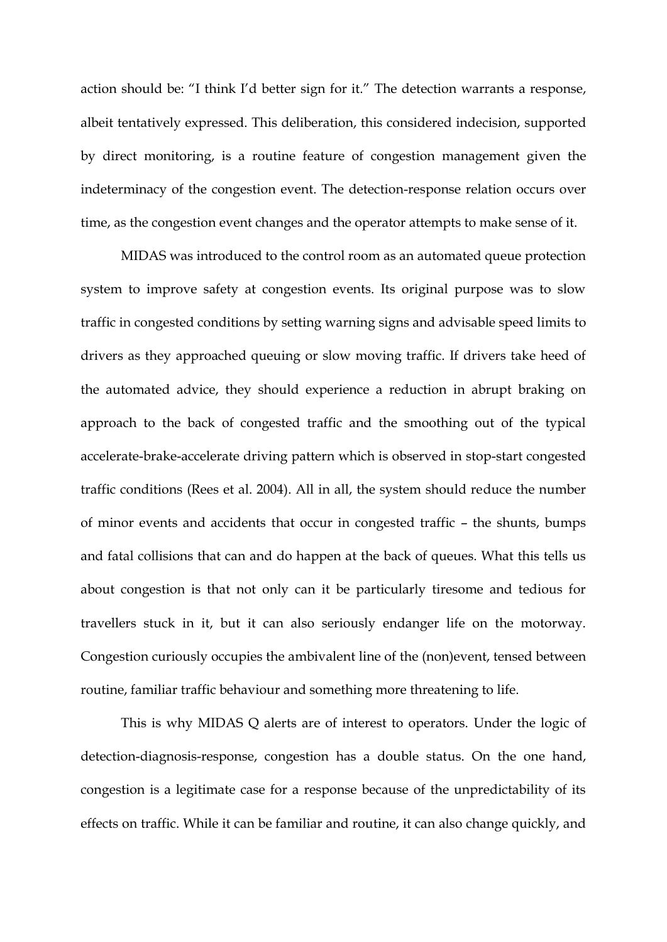action should be: "I think I'd better sign for it." The detection warrants a response, albeit tentatively expressed. This deliberation, this considered indecision, supported by direct monitoring, is a routine feature of congestion management given the indeterminacy of the congestion event. The detection-response relation occurs over time, as the congestion event changes and the operator attempts to make sense of it.

MIDAS was introduced to the control room as an automated queue protection system to improve safety at congestion events. Its original purpose was to slow traffic in congested conditions by setting warning signs and advisable speed limits to drivers as they approached queuing or slow moving traffic. If drivers take heed of the automated advice, they should experience a reduction in abrupt braking on approach to the back of congested traffic and the smoothing out of the typical accelerate-brake-accelerate driving pattern which is observed in stop-start congested traffic conditions (Rees et al. 2004). All in all, the system should reduce the number of minor events and accidents that occur in congested traffic – the shunts, bumps and fatal collisions that can and do happen at the back of queues. What this tells us about congestion is that not only can it be particularly tiresome and tedious for travellers stuck in it, but it can also seriously endanger life on the motorway. Congestion curiously occupies the ambivalent line of the (non)event, tensed between routine, familiar traffic behaviour and something more threatening to life.

This is why MIDAS Q alerts are of interest to operators. Under the logic of detection-diagnosis-response, congestion has a double status. On the one hand, congestion is a legitimate case for a response because of the unpredictability of its effects on traffic. While it can be familiar and routine, it can also change quickly, and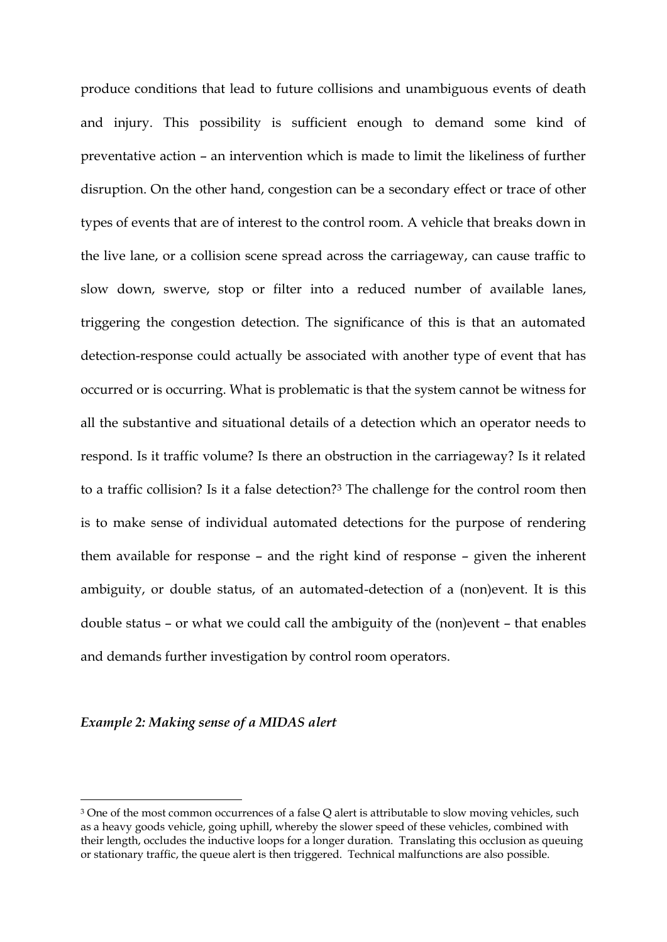produce conditions that lead to future collisions and unambiguous events of death and injury. This possibility is sufficient enough to demand some kind of preventative action – an intervention which is made to limit the likeliness of further disruption. On the other hand, congestion can be a secondary effect or trace of other types of events that are of interest to the control room. A vehicle that breaks down in the live lane, or a collision scene spread across the carriageway, can cause traffic to slow down, swerve, stop or filter into a reduced number of available lanes, triggering the congestion detection. The significance of this is that an automated detection-response could actually be associated with another type of event that has occurred or is occurring. What is problematic is that the system cannot be witness for all the substantive and situational details of a detection which an operator needs to respond. Is it traffic volume? Is there an obstruction in the carriageway? Is it related to a traffic collision? Is it a false detection?<sup>3</sup> The challenge for the control room then is to make sense of individual automated detections for the purpose of rendering them available for response – and the right kind of response – given the inherent ambiguity, or double status, of an automated-detection of a (non)event. It is this double status – or what we could call the ambiguity of the (non)event – that enables and demands further investigation by control room operators.

# *Example 2: Making sense of a MIDAS alert*

**.** 

<sup>&</sup>lt;sup>3</sup> One of the most common occurrences of a false Q alert is attributable to slow moving vehicles, such as a heavy goods vehicle, going uphill, whereby the slower speed of these vehicles, combined with their length, occludes the inductive loops for a longer duration. Translating this occlusion as queuing or stationary traffic, the queue alert is then triggered. Technical malfunctions are also possible.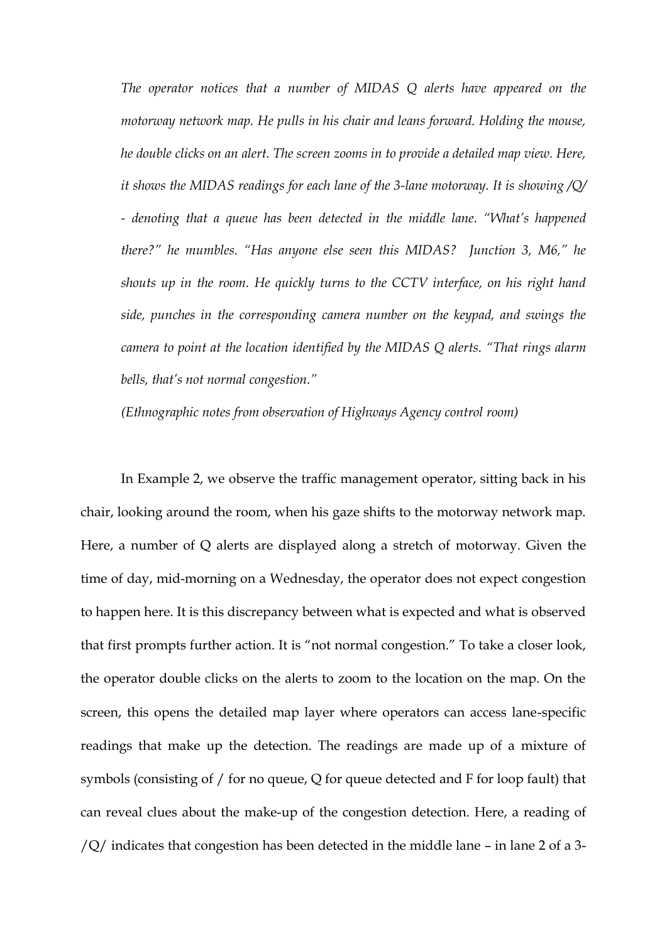*The operator notices that a number of MIDAS Q alerts have appeared on the motorway network map. He pulls in his chair and leans forward. Holding the mouse, he double clicks on an alert. The screen zooms in to provide a detailed map view. Here, it shows the MIDAS readings for each lane of the 3-lane motorway. It is showing /Q/ - denoting that a queue has been detected in the middle lane. "What's happened there?" he mumbles. "Has anyone else seen this MIDAS? Junction 3, M6," he shouts up in the room. He quickly turns to the CCTV interface, on his right hand side, punches in the corresponding camera number on the keypad, and swings the camera to point at the location identified by the MIDAS Q alerts. "That rings alarm bells, that's not normal congestion."*

*(Ethnographic notes from observation of Highways Agency control room)*

In Example 2, we observe the traffic management operator, sitting back in his chair, looking around the room, when his gaze shifts to the motorway network map. Here, a number of Q alerts are displayed along a stretch of motorway. Given the time of day, mid-morning on a Wednesday, the operator does not expect congestion to happen here. It is this discrepancy between what is expected and what is observed that first prompts further action. It is "not normal congestion." To take a closer look, the operator double clicks on the alerts to zoom to the location on the map. On the screen, this opens the detailed map layer where operators can access lane-specific readings that make up the detection. The readings are made up of a mixture of symbols (consisting of / for no queue, Q for queue detected and F for loop fault) that can reveal clues about the make-up of the congestion detection. Here, a reading of /Q/ indicates that congestion has been detected in the middle lane – in lane 2 of a 3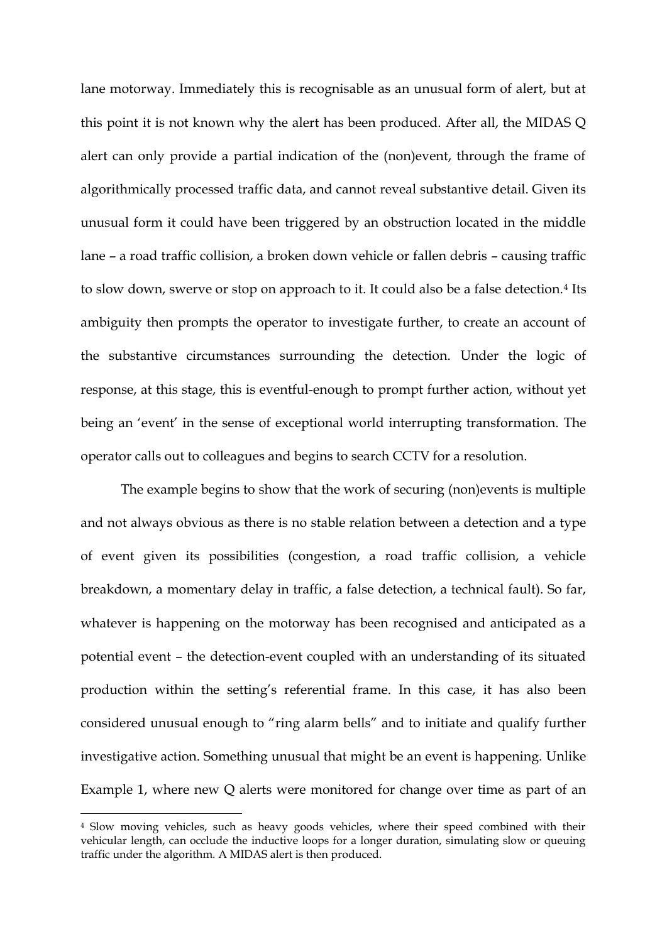lane motorway. Immediately this is recognisable as an unusual form of alert, but at this point it is not known why the alert has been produced. After all, the MIDAS Q alert can only provide a partial indication of the (non)event, through the frame of algorithmically processed traffic data, and cannot reveal substantive detail. Given its unusual form it could have been triggered by an obstruction located in the middle lane – a road traffic collision, a broken down vehicle or fallen debris – causing traffic to slow down, swerve or stop on approach to it. It could also be a false detection.<sup>4</sup> Its ambiguity then prompts the operator to investigate further, to create an account of the substantive circumstances surrounding the detection. Under the logic of response, at this stage, this is eventful-enough to prompt further action, without yet being an 'event' in the sense of exceptional world interrupting transformation. The operator calls out to colleagues and begins to search CCTV for a resolution.

The example begins to show that the work of securing (non)events is multiple and not always obvious as there is no stable relation between a detection and a type of event given its possibilities (congestion, a road traffic collision, a vehicle breakdown, a momentary delay in traffic, a false detection, a technical fault). So far, whatever is happening on the motorway has been recognised and anticipated as a potential event – the detection-event coupled with an understanding of its situated production within the setting's referential frame. In this case, it has also been considered unusual enough to "ring alarm bells" and to initiate and qualify further investigative action. Something unusual that might be an event is happening. Unlike Example 1, where new Q alerts were monitored for change over time as part of an

**.** 

<sup>4</sup> Slow moving vehicles, such as heavy goods vehicles, where their speed combined with their vehicular length, can occlude the inductive loops for a longer duration, simulating slow or queuing traffic under the algorithm. A MIDAS alert is then produced.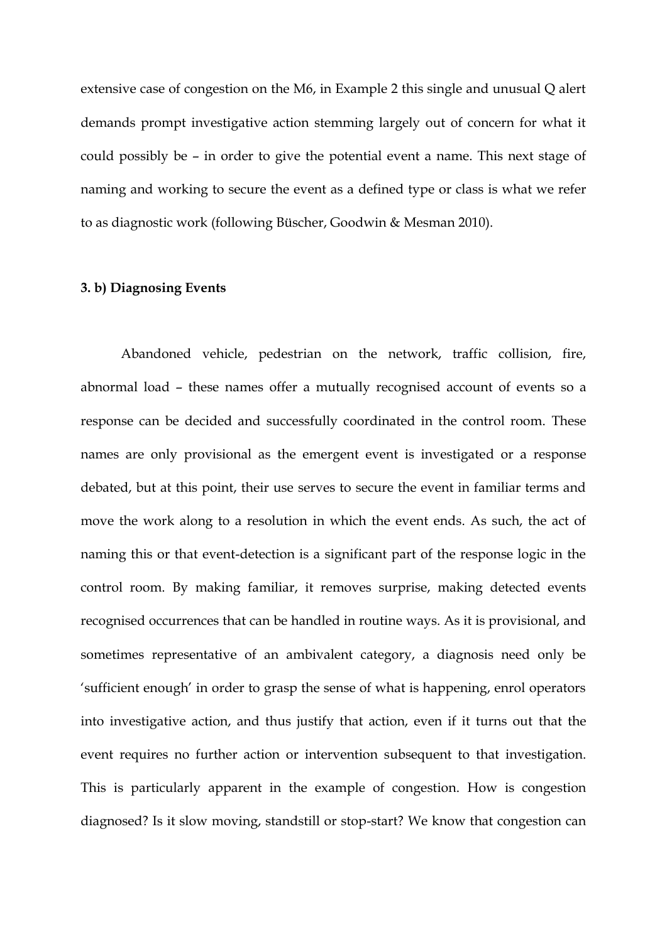extensive case of congestion on the M6, in Example 2 this single and unusual Q alert demands prompt investigative action stemming largely out of concern for what it could possibly be – in order to give the potential event a name. This next stage of naming and working to secure the event as a defined type or class is what we refer to as diagnostic work (following Büscher, Goodwin & Mesman 2010).

# **3. b) Diagnosing Events**

Abandoned vehicle, pedestrian on the network, traffic collision, fire, abnormal load – these names offer a mutually recognised account of events so a response can be decided and successfully coordinated in the control room. These names are only provisional as the emergent event is investigated or a response debated, but at this point, their use serves to secure the event in familiar terms and move the work along to a resolution in which the event ends. As such, the act of naming this or that event-detection is a significant part of the response logic in the control room. By making familiar, it removes surprise, making detected events recognised occurrences that can be handled in routine ways. As it is provisional, and sometimes representative of an ambivalent category, a diagnosis need only be 'sufficient enough' in order to grasp the sense of what is happening, enrol operators into investigative action, and thus justify that action, even if it turns out that the event requires no further action or intervention subsequent to that investigation. This is particularly apparent in the example of congestion. How is congestion diagnosed? Is it slow moving, standstill or stop-start? We know that congestion can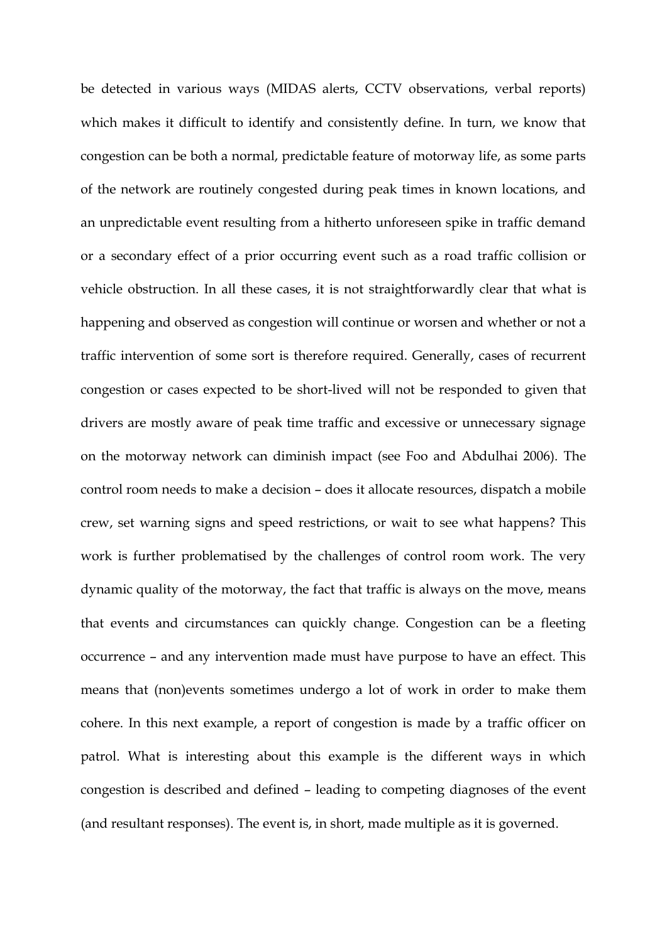be detected in various ways (MIDAS alerts, CCTV observations, verbal reports) which makes it difficult to identify and consistently define. In turn, we know that congestion can be both a normal, predictable feature of motorway life, as some parts of the network are routinely congested during peak times in known locations, and an unpredictable event resulting from a hitherto unforeseen spike in traffic demand or a secondary effect of a prior occurring event such as a road traffic collision or vehicle obstruction. In all these cases, it is not straightforwardly clear that what is happening and observed as congestion will continue or worsen and whether or not a traffic intervention of some sort is therefore required. Generally, cases of recurrent congestion or cases expected to be short-lived will not be responded to given that drivers are mostly aware of peak time traffic and excessive or unnecessary signage on the motorway network can diminish impact (see Foo and Abdulhai 2006). The control room needs to make a decision – does it allocate resources, dispatch a mobile crew, set warning signs and speed restrictions, or wait to see what happens? This work is further problematised by the challenges of control room work. The very dynamic quality of the motorway, the fact that traffic is always on the move, means that events and circumstances can quickly change. Congestion can be a fleeting occurrence – and any intervention made must have purpose to have an effect. This means that (non)events sometimes undergo a lot of work in order to make them cohere. In this next example, a report of congestion is made by a traffic officer on patrol. What is interesting about this example is the different ways in which congestion is described and defined – leading to competing diagnoses of the event (and resultant responses). The event is, in short, made multiple as it is governed.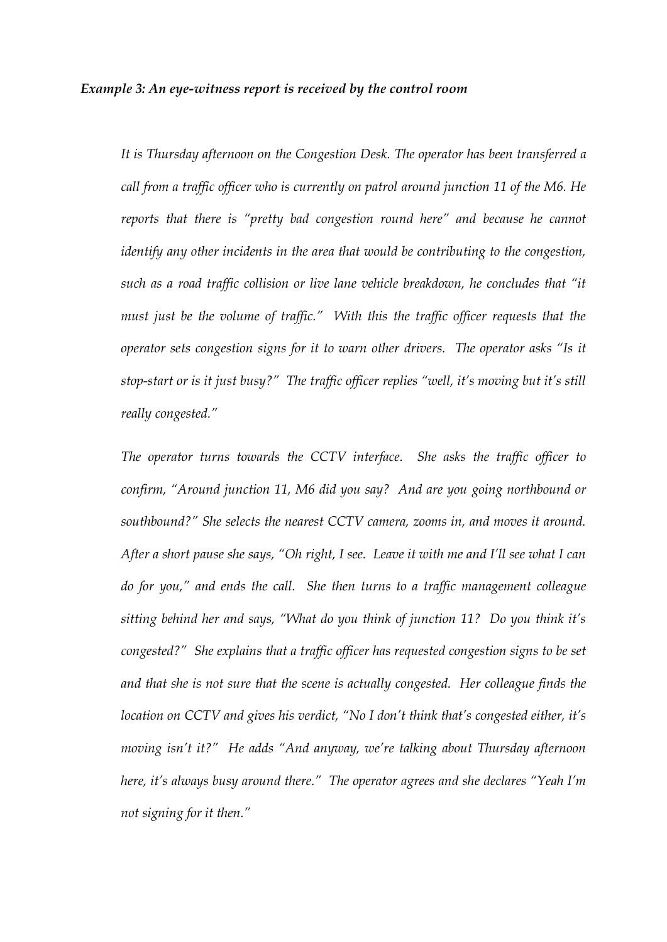#### *Example 3: An eye-witness report is received by the control room*

*It is Thursday afternoon on the Congestion Desk. The operator has been transferred a call from a traffic officer who is currently on patrol around junction 11 of the M6. He reports that there is "pretty bad congestion round here" and because he cannot identify any other incidents in the area that would be contributing to the congestion, such as a road traffic collision or live lane vehicle breakdown, he concludes that "it must just be the volume of traffic." With this the traffic officer requests that the operator sets congestion signs for it to warn other drivers. The operator asks "Is it stop-start or is it just busy?" The traffic officer replies "well, it's moving but it's still really congested."*

*The operator turns towards the CCTV interface. She asks the traffic officer to confirm, "Around junction 11, M6 did you say? And are you going northbound or southbound?" She selects the nearest CCTV camera, zooms in, and moves it around. After a short pause she says, "Oh right, I see. Leave it with me and I'll see what I can do for you," and ends the call. She then turns to a traffic management colleague sitting behind her and says, "What do you think of junction 11? Do you think it's congested?" She explains that a traffic officer has requested congestion signs to be set and that she is not sure that the scene is actually congested. Her colleague finds the location on CCTV and gives his verdict, "No I don't think that's congested either, it's moving isn't it?" He adds "And anyway, we're talking about Thursday afternoon here, it's always busy around there." The operator agrees and she declares "Yeah I'm not signing for it then."*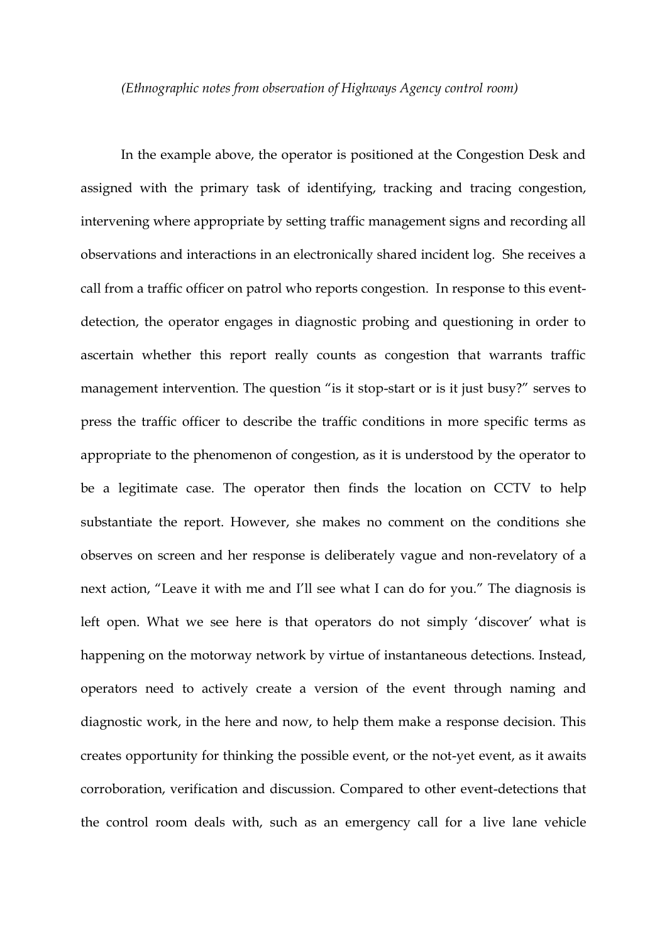#### *(Ethnographic notes from observation of Highways Agency control room)*

In the example above, the operator is positioned at the Congestion Desk and assigned with the primary task of identifying, tracking and tracing congestion, intervening where appropriate by setting traffic management signs and recording all observations and interactions in an electronically shared incident log. She receives a call from a traffic officer on patrol who reports congestion. In response to this eventdetection, the operator engages in diagnostic probing and questioning in order to ascertain whether this report really counts as congestion that warrants traffic management intervention. The question "is it stop-start or is it just busy?" serves to press the traffic officer to describe the traffic conditions in more specific terms as appropriate to the phenomenon of congestion, as it is understood by the operator to be a legitimate case. The operator then finds the location on CCTV to help substantiate the report. However, she makes no comment on the conditions she observes on screen and her response is deliberately vague and non-revelatory of a next action, "Leave it with me and I'll see what I can do for you." The diagnosis is left open. What we see here is that operators do not simply 'discover' what is happening on the motorway network by virtue of instantaneous detections. Instead, operators need to actively create a version of the event through naming and diagnostic work, in the here and now, to help them make a response decision. This creates opportunity for thinking the possible event, or the not-yet event, as it awaits corroboration, verification and discussion. Compared to other event-detections that the control room deals with, such as an emergency call for a live lane vehicle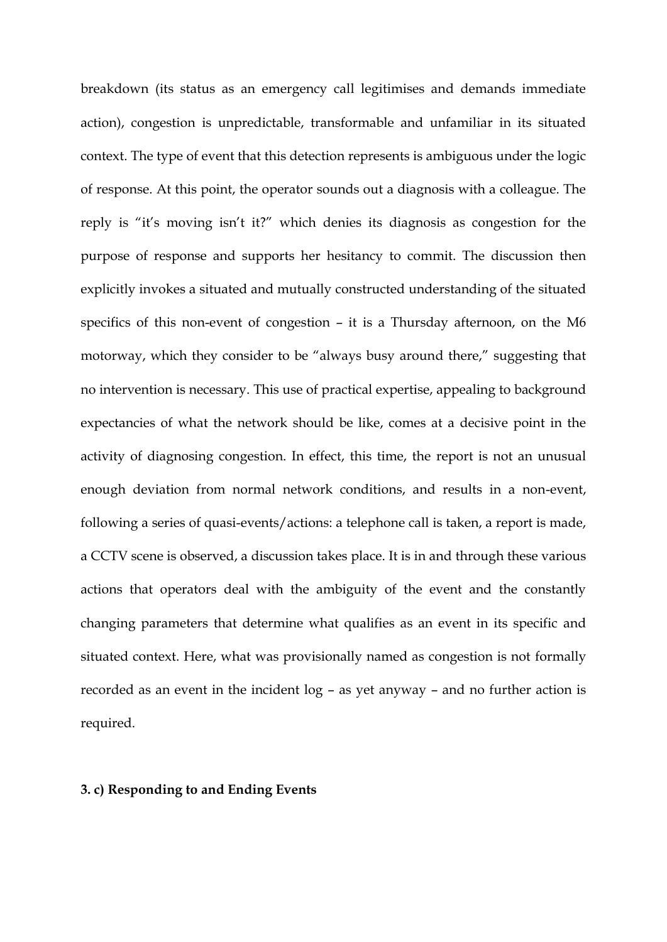breakdown (its status as an emergency call legitimises and demands immediate action), congestion is unpredictable, transformable and unfamiliar in its situated context. The type of event that this detection represents is ambiguous under the logic of response. At this point, the operator sounds out a diagnosis with a colleague. The reply is "it's moving isn't it?" which denies its diagnosis as congestion for the purpose of response and supports her hesitancy to commit. The discussion then explicitly invokes a situated and mutually constructed understanding of the situated specifics of this non-event of congestion – it is a Thursday afternoon, on the M6 motorway, which they consider to be "always busy around there," suggesting that no intervention is necessary. This use of practical expertise, appealing to background expectancies of what the network should be like, comes at a decisive point in the activity of diagnosing congestion. In effect, this time, the report is not an unusual enough deviation from normal network conditions, and results in a non-event, following a series of quasi-events/actions: a telephone call is taken, a report is made, a CCTV scene is observed, a discussion takes place. It is in and through these various actions that operators deal with the ambiguity of the event and the constantly changing parameters that determine what qualifies as an event in its specific and situated context. Here, what was provisionally named as congestion is not formally recorded as an event in the incident log – as yet anyway – and no further action is required.

# **3. c) Responding to and Ending Events**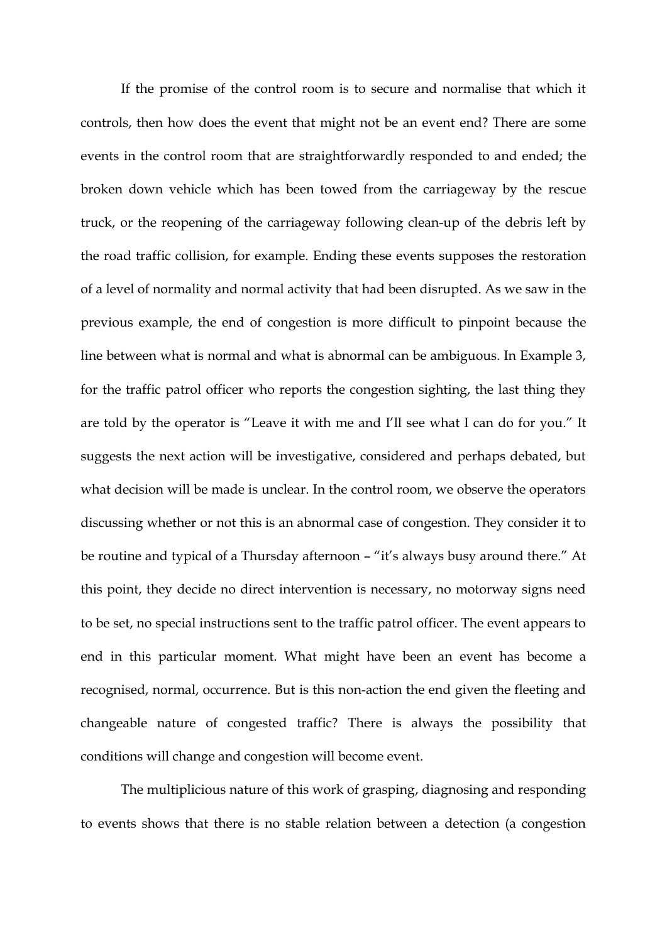If the promise of the control room is to secure and normalise that which it controls, then how does the event that might not be an event end? There are some events in the control room that are straightforwardly responded to and ended; the broken down vehicle which has been towed from the carriageway by the rescue truck, or the reopening of the carriageway following clean-up of the debris left by the road traffic collision, for example. Ending these events supposes the restoration of a level of normality and normal activity that had been disrupted. As we saw in the previous example, the end of congestion is more difficult to pinpoint because the line between what is normal and what is abnormal can be ambiguous. In Example 3, for the traffic patrol officer who reports the congestion sighting, the last thing they are told by the operator is "Leave it with me and I'll see what I can do for you." It suggests the next action will be investigative, considered and perhaps debated, but what decision will be made is unclear. In the control room, we observe the operators discussing whether or not this is an abnormal case of congestion. They consider it to be routine and typical of a Thursday afternoon – "it's always busy around there." At this point, they decide no direct intervention is necessary, no motorway signs need to be set, no special instructions sent to the traffic patrol officer. The event appears to end in this particular moment. What might have been an event has become a recognised, normal, occurrence. But is this non-action the end given the fleeting and changeable nature of congested traffic? There is always the possibility that conditions will change and congestion will become event.

The multiplicious nature of this work of grasping, diagnosing and responding to events shows that there is no stable relation between a detection (a congestion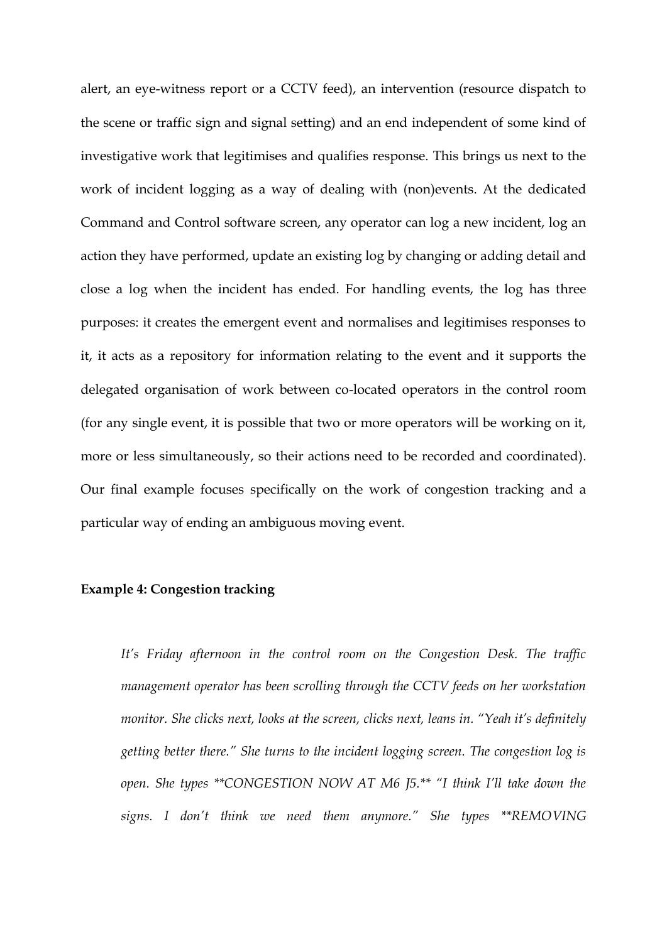alert, an eye-witness report or a CCTV feed), an intervention (resource dispatch to the scene or traffic sign and signal setting) and an end independent of some kind of investigative work that legitimises and qualifies response. This brings us next to the work of incident logging as a way of dealing with (non)events. At the dedicated Command and Control software screen, any operator can log a new incident, log an action they have performed, update an existing log by changing or adding detail and close a log when the incident has ended. For handling events, the log has three purposes: it creates the emergent event and normalises and legitimises responses to it, it acts as a repository for information relating to the event and it supports the delegated organisation of work between co-located operators in the control room (for any single event, it is possible that two or more operators will be working on it, more or less simultaneously, so their actions need to be recorded and coordinated). Our final example focuses specifically on the work of congestion tracking and a particular way of ending an ambiguous moving event.

# **Example 4: Congestion tracking**

*It's Friday afternoon in the control room on the Congestion Desk. The traffic management operator has been scrolling through the CCTV feeds on her workstation monitor. She clicks next, looks at the screen, clicks next, leans in. "Yeah it's definitely getting better there." She turns to the incident logging screen. The congestion log is open. She types \*\*CONGESTION NOW AT M6 J5.\*\* "I think I'll take down the signs. I don't think we need them anymore." She types \*\*REMOVING*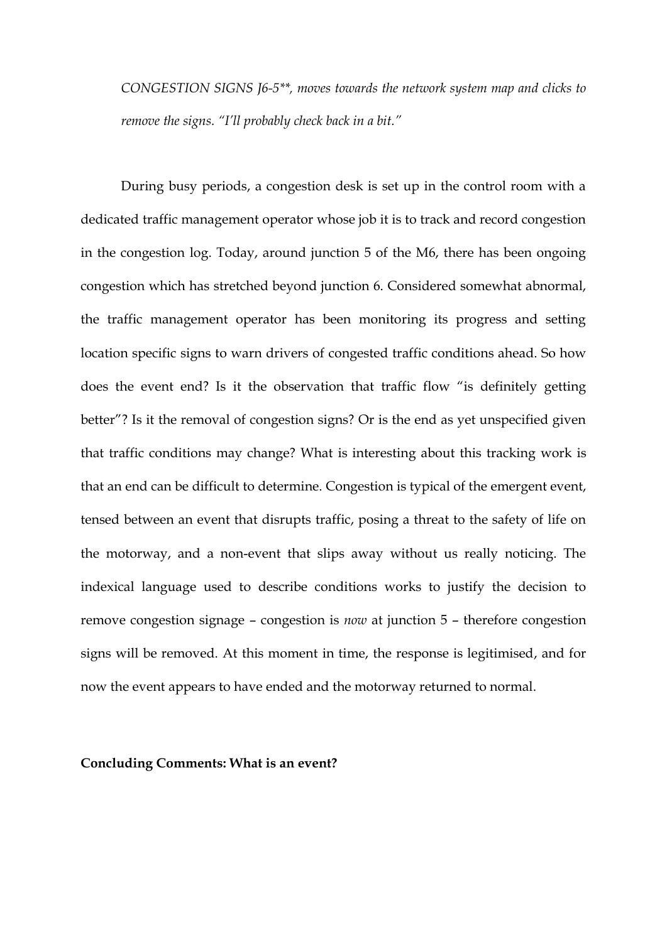*CONGESTION SIGNS J6-5\*\*, moves towards the network system map and clicks to remove the signs. "I'll probably check back in a bit."*

During busy periods, a congestion desk is set up in the control room with a dedicated traffic management operator whose job it is to track and record congestion in the congestion log. Today, around junction 5 of the M6, there has been ongoing congestion which has stretched beyond junction 6. Considered somewhat abnormal, the traffic management operator has been monitoring its progress and setting location specific signs to warn drivers of congested traffic conditions ahead. So how does the event end? Is it the observation that traffic flow "is definitely getting better"? Is it the removal of congestion signs? Or is the end as yet unspecified given that traffic conditions may change? What is interesting about this tracking work is that an end can be difficult to determine. Congestion is typical of the emergent event, tensed between an event that disrupts traffic, posing a threat to the safety of life on the motorway, and a non-event that slips away without us really noticing. The indexical language used to describe conditions works to justify the decision to remove congestion signage – congestion is *now* at junction 5 – therefore congestion signs will be removed. At this moment in time, the response is legitimised, and for now the event appears to have ended and the motorway returned to normal.

#### **Concluding Comments: What is an event?**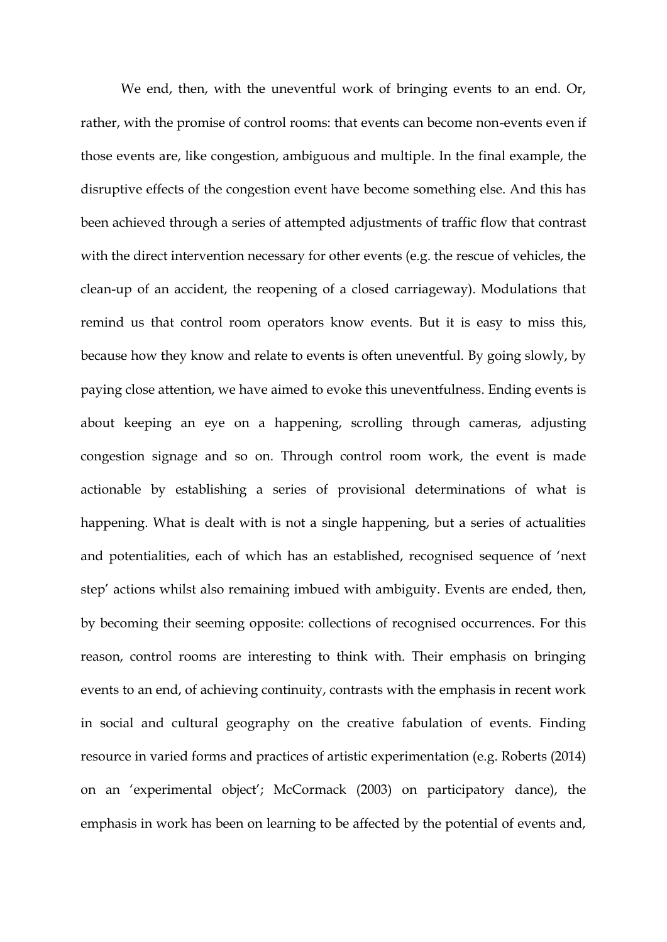We end, then, with the uneventful work of bringing events to an end. Or, rather, with the promise of control rooms: that events can become non-events even if those events are, like congestion, ambiguous and multiple. In the final example, the disruptive effects of the congestion event have become something else. And this has been achieved through a series of attempted adjustments of traffic flow that contrast with the direct intervention necessary for other events (e.g. the rescue of vehicles, the clean-up of an accident, the reopening of a closed carriageway). Modulations that remind us that control room operators know events. But it is easy to miss this, because how they know and relate to events is often uneventful. By going slowly, by paying close attention, we have aimed to evoke this uneventfulness. Ending events is about keeping an eye on a happening, scrolling through cameras, adjusting congestion signage and so on. Through control room work, the event is made actionable by establishing a series of provisional determinations of what is happening. What is dealt with is not a single happening, but a series of actualities and potentialities, each of which has an established, recognised sequence of 'next step' actions whilst also remaining imbued with ambiguity. Events are ended, then, by becoming their seeming opposite: collections of recognised occurrences. For this reason, control rooms are interesting to think with. Their emphasis on bringing events to an end, of achieving continuity, contrasts with the emphasis in recent work in social and cultural geography on the creative fabulation of events. Finding resource in varied forms and practices of artistic experimentation (e.g. Roberts (2014) on an 'experimental object'; McCormack (2003) on participatory dance), the emphasis in work has been on learning to be affected by the potential of events and,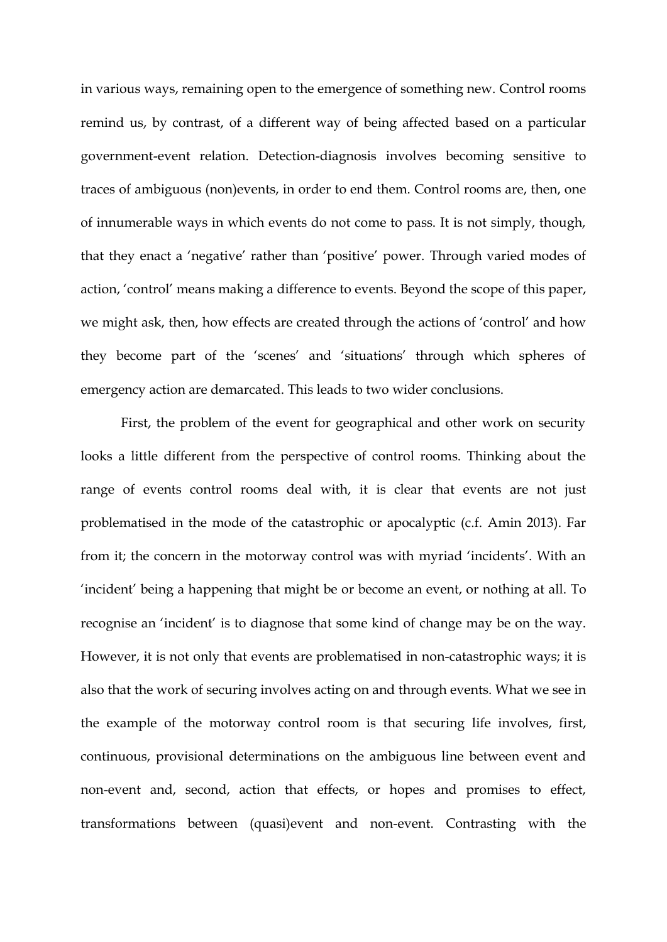in various ways, remaining open to the emergence of something new. Control rooms remind us, by contrast, of a different way of being affected based on a particular government-event relation. Detection-diagnosis involves becoming sensitive to traces of ambiguous (non)events, in order to end them. Control rooms are, then, one of innumerable ways in which events do not come to pass. It is not simply, though, that they enact a 'negative' rather than 'positive' power. Through varied modes of action, 'control' means making a difference to events. Beyond the scope of this paper, we might ask, then, how effects are created through the actions of 'control' and how they become part of the 'scenes' and 'situations' through which spheres of emergency action are demarcated. This leads to two wider conclusions.

First, the problem of the event for geographical and other work on security looks a little different from the perspective of control rooms. Thinking about the range of events control rooms deal with, it is clear that events are not just problematised in the mode of the catastrophic or apocalyptic (c.f. Amin 2013). Far from it; the concern in the motorway control was with myriad 'incidents'. With an 'incident' being a happening that might be or become an event, or nothing at all. To recognise an 'incident' is to diagnose that some kind of change may be on the way. However, it is not only that events are problematised in non-catastrophic ways; it is also that the work of securing involves acting on and through events. What we see in the example of the motorway control room is that securing life involves, first, continuous, provisional determinations on the ambiguous line between event and non-event and, second, action that effects, or hopes and promises to effect, transformations between (quasi)event and non-event. Contrasting with the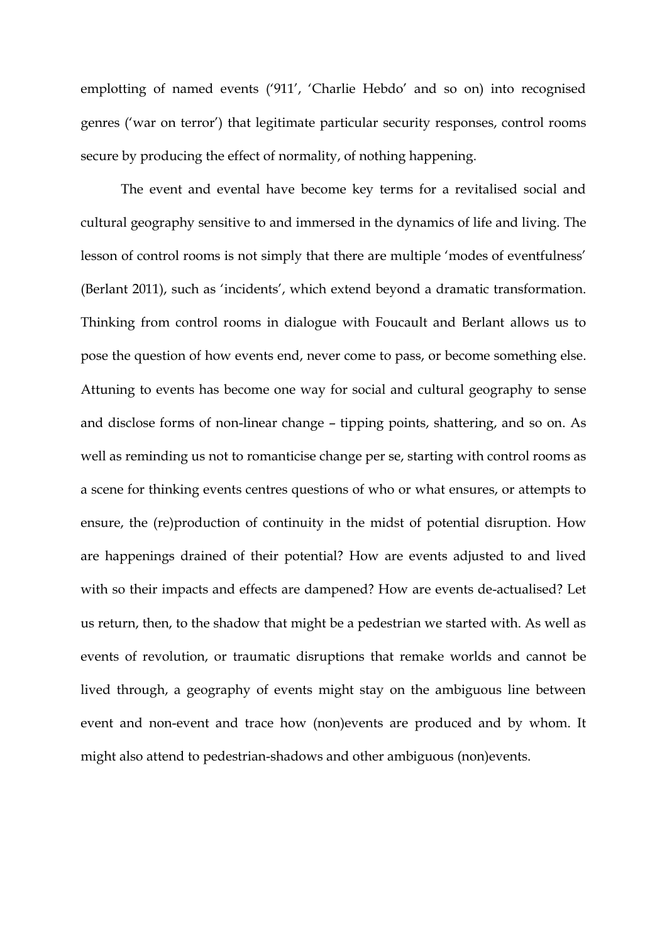emplotting of named events ('911', 'Charlie Hebdo' and so on) into recognised genres ('war on terror') that legitimate particular security responses, control rooms secure by producing the effect of normality, of nothing happening.

The event and evental have become key terms for a revitalised social and cultural geography sensitive to and immersed in the dynamics of life and living. The lesson of control rooms is not simply that there are multiple 'modes of eventfulness' (Berlant 2011), such as 'incidents', which extend beyond a dramatic transformation. Thinking from control rooms in dialogue with Foucault and Berlant allows us to pose the question of how events end, never come to pass, or become something else. Attuning to events has become one way for social and cultural geography to sense and disclose forms of non-linear change – tipping points, shattering, and so on. As well as reminding us not to romanticise change per se, starting with control rooms as a scene for thinking events centres questions of who or what ensures, or attempts to ensure, the (re)production of continuity in the midst of potential disruption. How are happenings drained of their potential? How are events adjusted to and lived with so their impacts and effects are dampened? How are events de-actualised? Let us return, then, to the shadow that might be a pedestrian we started with. As well as events of revolution, or traumatic disruptions that remake worlds and cannot be lived through, a geography of events might stay on the ambiguous line between event and non-event and trace how (non)events are produced and by whom. It might also attend to pedestrian-shadows and other ambiguous (non)events.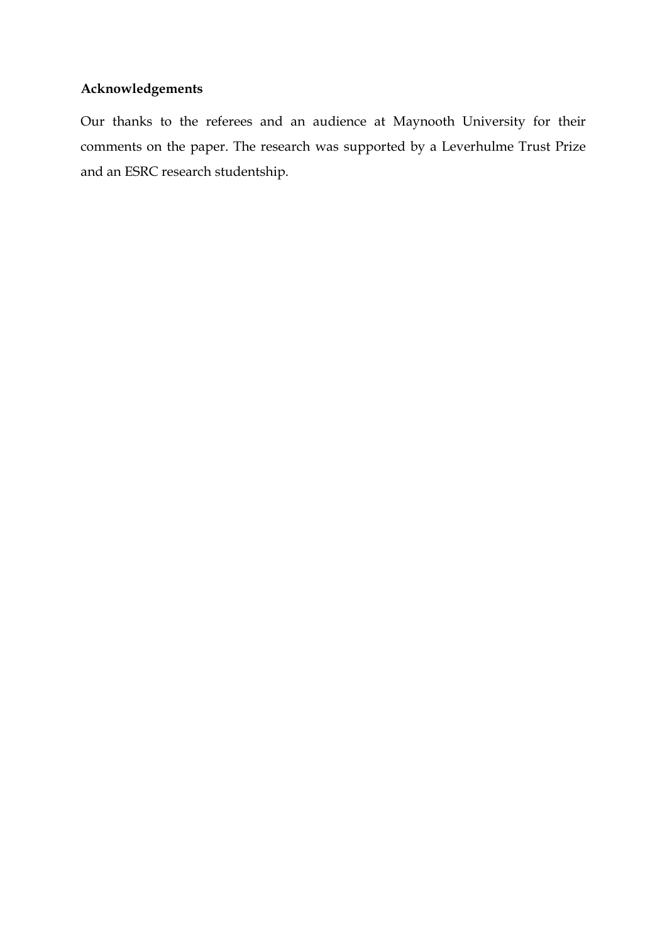# **Acknowledgements**

Our thanks to the referees and an audience at Maynooth University for their comments on the paper. The research was supported by a Leverhulme Trust Prize and an ESRC research studentship.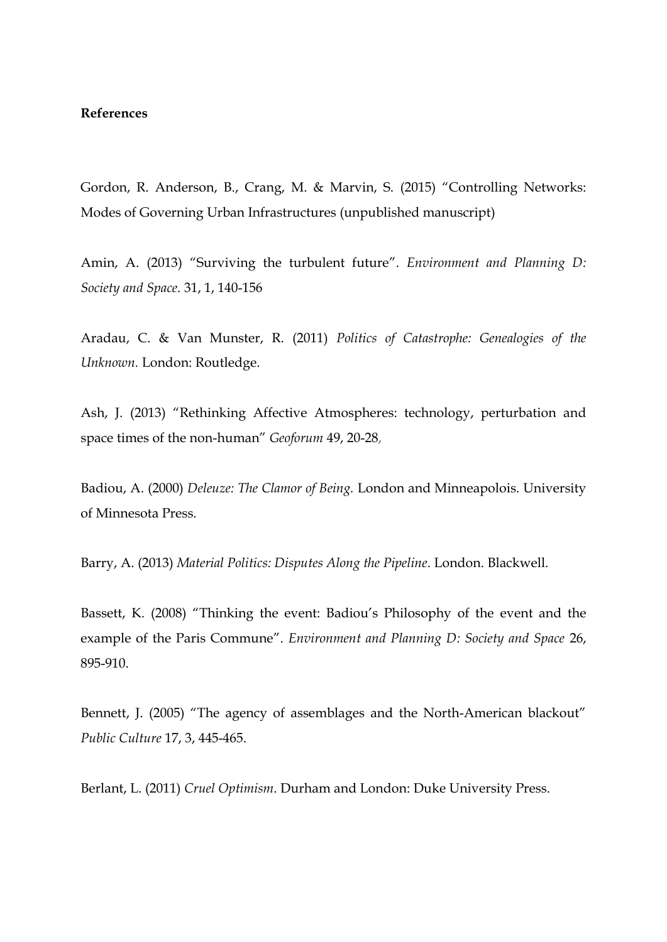### **References**

Gordon, R. Anderson, B., Crang, M. & Marvin, S. (2015) "Controlling Networks: Modes of Governing Urban Infrastructures (unpublished manuscript)

Amin, A. (2013) "Surviving the turbulent future". *Environment and Planning D: Society and Space.* 31, 1, 140-156

Aradau, C. & Van Munster, R. (2011) *Politics of Catastrophe: Genealogies of the Unknown.* London: Routledge.

Ash, J. (2013) "Rethinking Affective Atmospheres: technology, perturbation and space times of the non-human" *Geoforum* 49, 20-28,

Badiou, A. (2000) *Deleuze: The Clamor of Being.* London and Minneapolois. University of Minnesota Press.

Barry, A. (2013) *Material Politics: Disputes Along the Pipeline*. London. Blackwell.

Bassett, K. (2008) "Thinking the event: Badiou's Philosophy of the event and the example of the Paris Commune". *Environment and Planning D: Society and Space* 26, 895-910.

Bennett, J. (2005) "The agency of assemblages and the North-American blackout" *Public Culture* 17, 3, 445-465.

Berlant, L. (2011) *Cruel Optimism*. Durham and London: Duke University Press.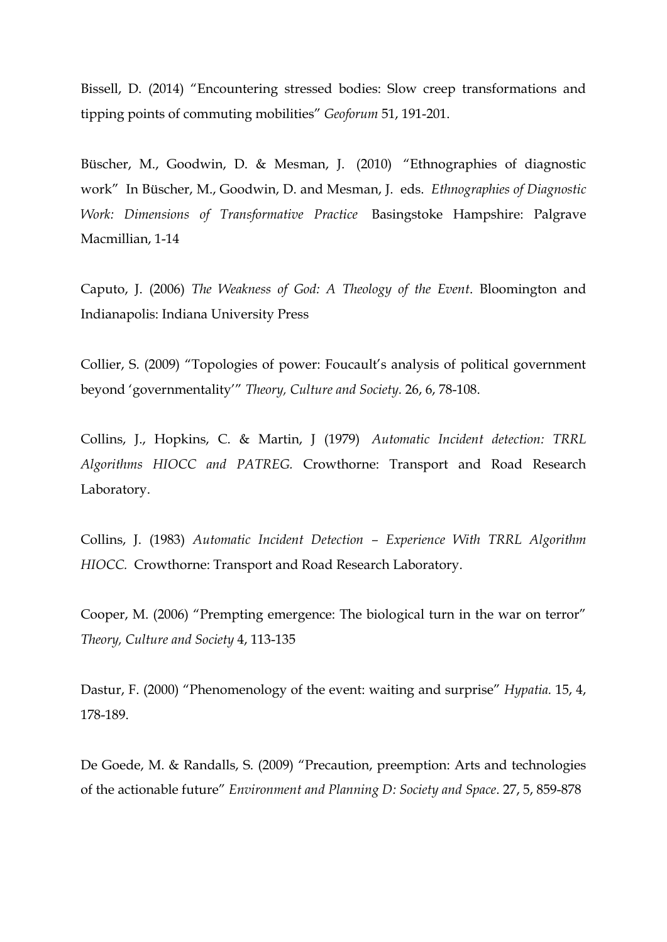Bissell, D. (2014) "[Encountering stressed bodies: Slow creep transformations and](https://researchers.anu.edu.au/publications/89856)  tipping points [of commuting mobilities"](https://researchers.anu.edu.au/publications/89856) *Geoforum* 51, 191-201.

Büscher, M., Goodwin, D. & Mesman, J. (2010) "Ethnographies of diagnostic work" In Büscher, M., Goodwin, D. and Mesman, J. eds. *Ethnographies of Diagnostic Work: Dimensions of Transformative Practice* Basingstoke Hampshire: Palgrave Macmillian, 1-14

Caputo, J. (2006) *The Weakness of God: A Theology of the Event*. Bloomington and Indianapolis: Indiana University Press

Collier, S. (2009) "Topologies of power: Foucault's analysis of political government beyond 'governmentality'" *Theory, Culture and Society.* 26, 6, 78-108.

Collins, J., Hopkins, C. & Martin, J (1979) *Automatic Incident detection: TRRL Algorithms HIOCC and PATREG.* Crowthorne: Transport and Road Research Laboratory.

Collins, J. (1983) *Automatic Incident Detection – Experience With TRRL Algorithm HIOCC.* Crowthorne: Transport and Road Research Laboratory.

Cooper, M. (2006) "Prempting emergence: The biological turn in the war on terror" *Theory, Culture and Society* 4, 113-135

Dastur, F. (2000) "Phenomenology of the event: waiting and surprise" *Hypatia.* 15, 4, 178-189.

De Goede, M. & Randalls, S. (2009) "Precaution, preemption: Arts and technologies of the actionable future" *Environment and Planning D: Society and Space*. 27, 5, 859-878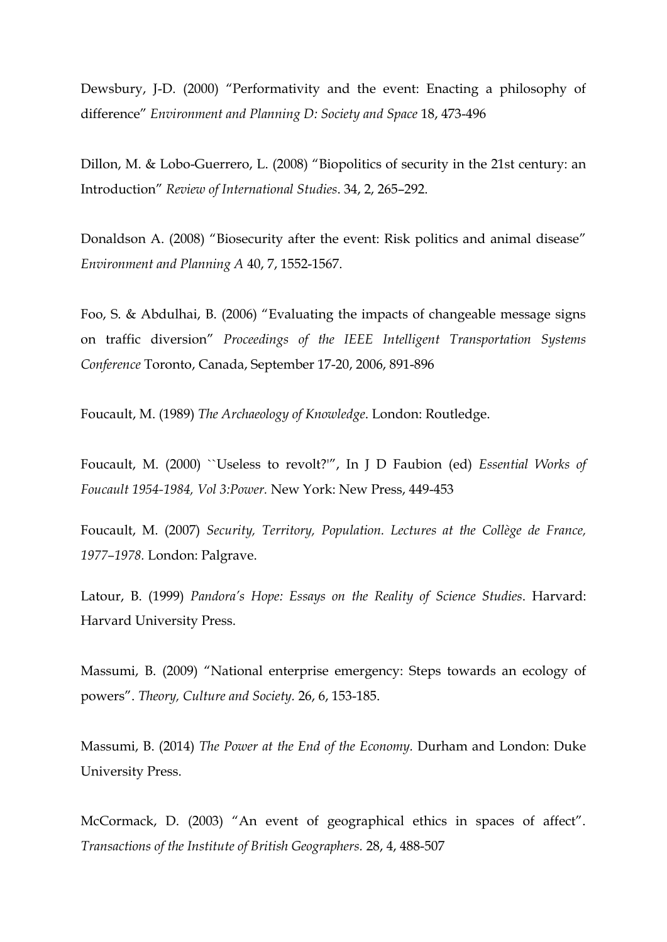Dewsbury, J-D. (2000) "Performativity and the event: Enacting a philosophy of difference" *Environment and Planning D: Society and Space* 18, 473-496

Dillon, M. & Lobo-Guerrero, L. (2008) "Biopolitics of security in the 21st century: an Introduction" *Review of International Studies*. 34, 2, 265–292.

Donaldson A. (2008) "Biosecurity after the event: Risk politics and animal disease" *Environment and Planning A* 40, 7, 1552-1567.

Foo, S. & Abdulhai, B. (2006) "Evaluating the impacts of changeable message signs on traffic diversion" *Proceedings of the IEEE Intelligent Transportation Systems Conference* Toronto, Canada, September 17-20, 2006, 891-896

Foucault, M. (1989) *The Archaeology of Knowledge*. London: Routledge.

Foucault, M. (2000) ``Useless to revolt?'", In J D Faubion (ed) *Essential Works of Foucault 1954-1984, Vol 3:Power.* New York: New Press, 449-453

Foucault, M. (2007) *Security, Territory, Population. Lectures at the Collège de France, 1977–1978.* London: Palgrave.

Latour, B. (1999) *Pandora's Hope: Essays on the Reality of Science Studies*. Harvard: Harvard University Press.

Massumi, B. (2009) "National enterprise emergency: Steps towards an ecology of powers". *Theory, Culture and Society.* 26, 6, 153-185.

Massumi, B. (2014) *The Power at the End of the Economy.* Durham and London: Duke University Press.

McCormack, D. (2003) "An event of geographical ethics in spaces of affect". *Transactions of the Institute of British Geographers.* 28, 4, 488-507